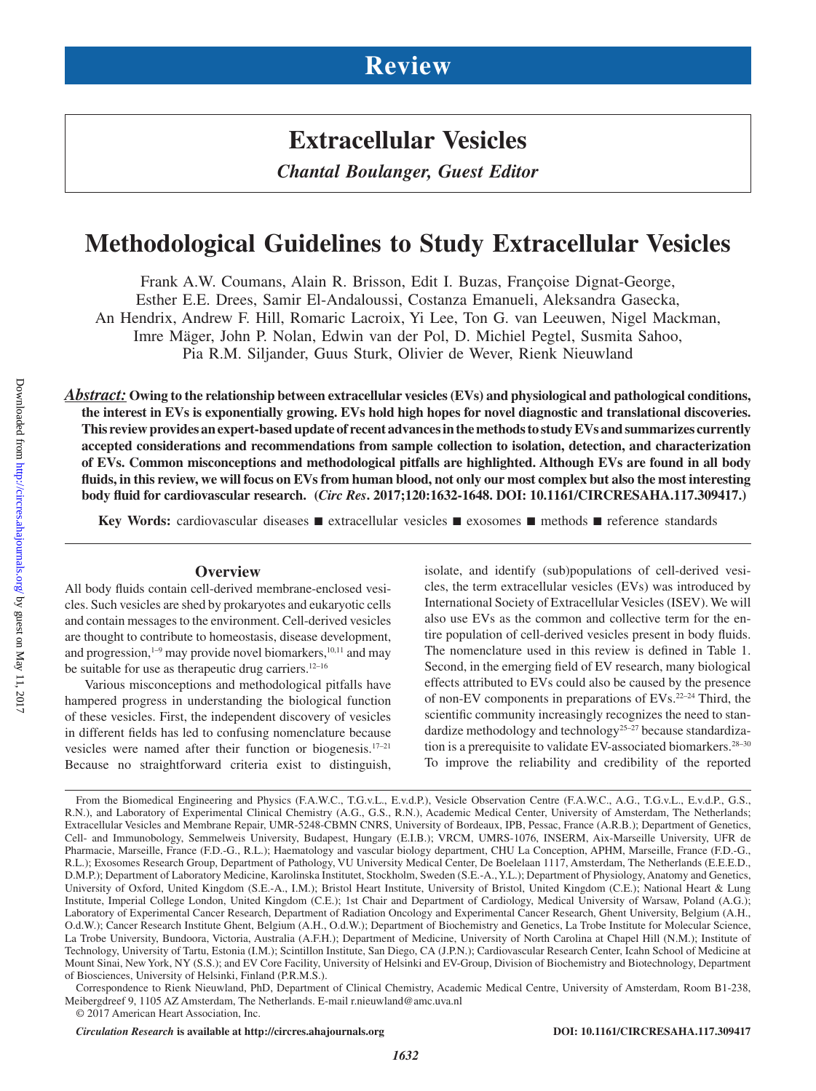# **Extracellular Vesicles**

*Chantal Boulanger, Guest Editor*

# **Methodological Guidelines to Study Extracellular Vesicles**

Frank A.W. Coumans, Alain R. Brisson, Edit I. Buzas, Françoise Dignat-George,

Esther E.E. Drees, Samir El-Andaloussi, Costanza Emanueli, Aleksandra Gasecka,

An Hendrix, Andrew F. Hill, Romaric Lacroix, Yi Lee, Ton G. van Leeuwen, Nigel Mackman,

Imre Mäger, John P. Nolan, Edwin van der Pol, D. Michiel Pegtel, Susmita Sahoo,

Pia R.M. Siljander, Guus Sturk, Olivier de Wever, Rienk Nieuwland

*Abstract:* **Owing to the relationship between extracellular vesicles (EVs) and physiological and pathological conditions, the interest in EVs is exponentially growing. EVs hold high hopes for novel diagnostic and translational discoveries. This review provides an expert-based update of recent advances in the methods to study EVs and summarizes currently accepted considerations and recommendations from sample collection to isolation, detection, and characterization of EVs. Common misconceptions and methodological pitfalls are highlighted. Although EVs are found in all body fluids, in this review, we will focus on EVs from human blood, not only our most complex but also the most interesting body fluid for cardiovascular research. (***Circ Res***. 2017;120:1632-1648. DOI: 10.1161/CIRCRESAHA.117.309417.)**

**Key Words:** cardiovascular diseases ■ extracellular vesicles ■ exosomes ■ methods ■ reference standards

#### **Overview**

All body fluids contain cell-derived membrane-enclosed vesicles. Such vesicles are shed by prokaryotes and eukaryotic cells and contain messages to the environment. Cell-derived vesicles are thought to contribute to homeostasis, disease development, and progression, $1-9$  may provide novel biomarkers,  $10,11$  and may be suitable for use as therapeutic drug carriers.<sup>12-16</sup>

Various misconceptions and methodological pitfalls have hampered progress in understanding the biological function of these vesicles. First, the independent discovery of vesicles in different fields has led to confusing nomenclature because vesicles were named after their function or biogenesis.17–21 Because no straightforward criteria exist to distinguish,

isolate, and identify (sub)populations of cell-derived vesicles, the term extracellular vesicles (EVs) was introduced by International Society of Extracellular Vesicles (ISEV). We will also use EVs as the common and collective term for the entire population of cell-derived vesicles present in body fluids. The nomenclature used in this review is defined in Table 1. Second, in the emerging field of EV research, many biological effects attributed to EVs could also be caused by the presence of non-EV components in preparations of EVs.22–24 Third, the scientific community increasingly recognizes the need to standardize methodology and technology<sup>25–27</sup> because standardization is a prerequisite to validate EV-associated biomarkers.<sup>28-30</sup> To improve the reliability and credibility of the reported

Correspondence to Rienk Nieuwland, PhD, Department of Clinical Chemistry, Academic Medical Centre, University of Amsterdam, Room B1-238, Meibergdreef 9, 1105 AZ Amsterdam, The Netherlands. E-mail [r.nieuwland@amc.uva.nl](mailto:r.nieuwland@amc.uva.nl)

© 2017 American Heart Association, Inc.

*Circulation Research* **is available at http://circres.ahajournals.org DOI: 10.1161/CIRCRESAHA.117.309417**

From the Biomedical Engineering and Physics (F.A.W.C., T.G.v.L., E.v.d.P.), Vesicle Observation Centre (F.A.W.C., A.G., T.G.v.L., E.v.d.P., G.S., R.N.), and Laboratory of Experimental Clinical Chemistry (A.G., G.S., R.N.), Academic Medical Center, University of Amsterdam, The Netherlands; Extracellular Vesicles and Membrane Repair, UMR-5248-CBMN CNRS, University of Bordeaux, IPB, Pessac, France (A.R.B.); Department of Genetics, Cell- and Immunobology, Semmelweis University, Budapest, Hungary (E.I.B.); VRCM, UMRS-1076, INSERM, Aix-Marseille University, UFR de Pharmacie, Marseille, France (F.D.-G., R.L.); Haematology and vascular biology department, CHU La Conception, APHM, Marseille, France (F.D.-G., R.L.); Exosomes Research Group, Department of Pathology, VU University Medical Center, De Boelelaan 1117, Amsterdam, The Netherlands (E.E.E.D., D.M.P.); Department of Laboratory Medicine, Karolinska Institutet, Stockholm, Sweden (S.E.-A., Y.L.); Department of Physiology, Anatomy and Genetics, University of Oxford, United Kingdom (S.E.-A., I.M.); Bristol Heart Institute, University of Bristol, United Kingdom (C.E.); National Heart & Lung Institute, Imperial College London, United Kingdom (C.E.); 1st Chair and Department of Cardiology, Medical University of Warsaw, Poland (A.G.); Laboratory of Experimental Cancer Research, Department of Radiation Oncology and Experimental Cancer Research, Ghent University, Belgium (A.H., O.d.W.); Cancer Research Institute Ghent, Belgium (A.H., O.d.W.); Department of Biochemistry and Genetics, La Trobe Institute for Molecular Science, La Trobe University, Bundoora, Victoria, Australia (A.F.H.); Department of Medicine, University of North Carolina at Chapel Hill (N.M.); Institute of Technology, University of Tartu, Estonia (I.M.); Scintillon Institute, San Diego, CA (J.P.N.); Cardiovascular Research Center, Icahn School of Medicine at Mount Sinai, New York, NY (S.S.); and EV Core Facility, University of Helsinki and EV-Group, Division of Biochemistry and Biotechnology, Department of Biosciences, University of Helsinki, Finland (P.R.M.S.).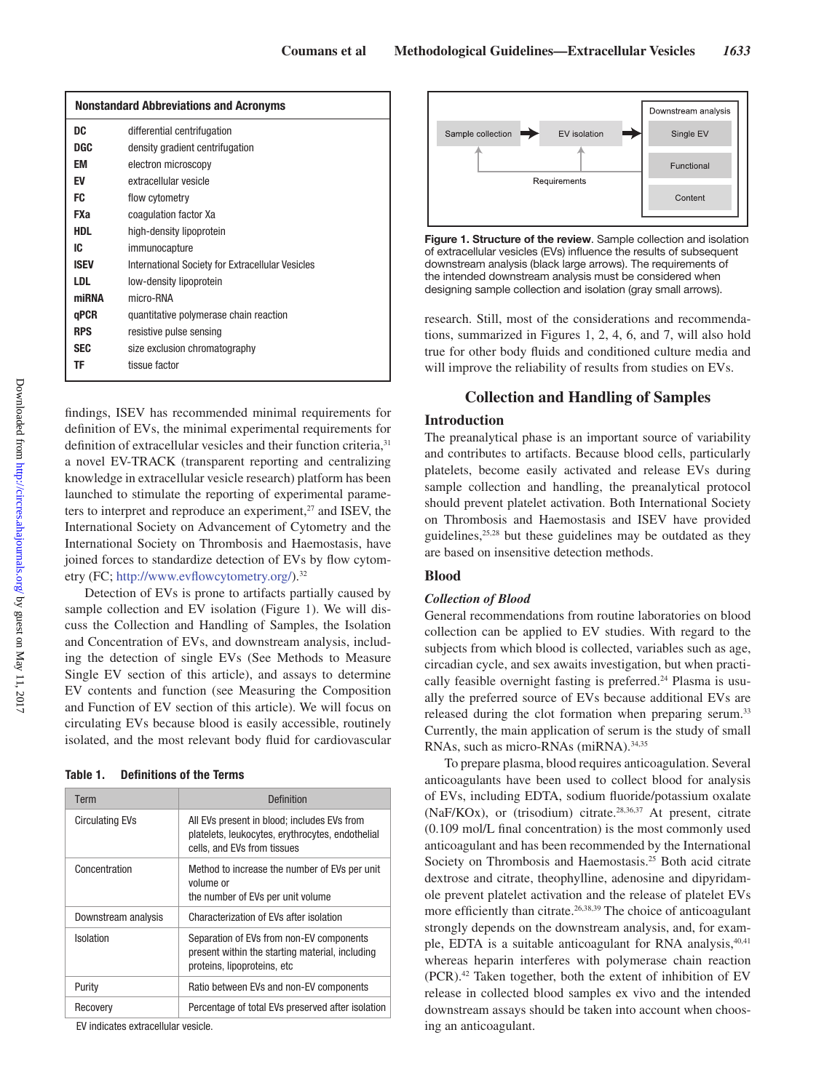| <b>Nonstandard Abbreviations and Acronyms</b> |                                                  |
|-----------------------------------------------|--------------------------------------------------|
| DC                                            | differential centrifugation                      |
| DGC                                           | density gradient centrifugation                  |
| EМ                                            | electron microscopy                              |
| EV                                            | extracellular vesicle                            |
| FC                                            | flow cytometry                                   |
| <b>FXa</b>                                    | coaquiation factor Xa                            |
| HDL                                           | high-density lipoprotein                         |
| IC.                                           | immunocapture                                    |
| <b>ISEV</b>                                   | International Society for Extracellular Vesicles |
| LDL                                           | low-density lipoprotein                          |
| miRNA                                         | micro-RNA                                        |
| qPCR                                          | quantitative polymerase chain reaction           |
| <b>RPS</b>                                    | resistive pulse sensing                          |
| <b>SEC</b>                                    | size exclusion chromatography                    |
| TF                                            | tissue factor                                    |

findings, ISEV has recommended minimal requirements for definition of EVs, the minimal experimental requirements for definition of extracellular vesicles and their function criteria,<sup>31</sup> a novel EV-TRACK (transparent reporting and centralizing knowledge in extracellular vesicle research) platform has been launched to stimulate the reporting of experimental parameters to interpret and reproduce an experiment,<sup>27</sup> and ISEV, the International Society on Advancement of Cytometry and the International Society on Thrombosis and Haemostasis, have joined forces to standardize detection of EVs by flow cytometry (FC; http://www.evflowcytometry.org/).32

Detection of EVs is prone to artifacts partially caused by sample collection and EV isolation (Figure 1). We will discuss the Collection and Handling of Samples, the Isolation and Concentration of EVs, and downstream analysis, including the detection of single EVs (See Methods to Measure Single EV section of this article), and assays to determine EV contents and function (see Measuring the Composition and Function of EV section of this article). We will focus on circulating EVs because blood is easily accessible, routinely isolated, and the most relevant body fluid for cardiovascular

| Table 1. | <b>Definitions of the Terms</b> |  |  |
|----------|---------------------------------|--|--|
|----------|---------------------------------|--|--|

| Term                | Definition                                                                                                                     |
|---------------------|--------------------------------------------------------------------------------------------------------------------------------|
| Circulating EVs     | All EVs present in blood; includes EVs from<br>platelets, leukocytes, erythrocytes, endothelial<br>cells, and EVs from tissues |
| Concentration       | Method to increase the number of EVs per unit<br>volume or<br>the number of EVs per unit volume                                |
| Downstream analysis | Characterization of EVs after isolation                                                                                        |
| Isolation           | Separation of EVs from non-EV components<br>present within the starting material, including<br>proteins, lipoproteins, etc.    |
| Purity              | Ratio between EVs and non-EV components                                                                                        |
| Recovery            | Percentage of total EVs preserved after isolation                                                                              |

EV indicates extracellular vesicle.



Figure 1. Structure of the review. Sample collection and isolation of extracellular vesicles (EVs) influence the results of subsequent downstream analysis (black large arrows). The requirements of the intended downstream analysis must be considered when designing sample collection and isolation (gray small arrows).

research. Still, most of the considerations and recommendations, summarized in Figures 1, 2, 4, 6, and 7, will also hold true for other body fluids and conditioned culture media and will improve the reliability of results from studies on EVs.

# **Collection and Handling of Samples**

## **Introduction**

The preanalytical phase is an important source of variability and contributes to artifacts. Because blood cells, particularly platelets, become easily activated and release EVs during sample collection and handling, the preanalytical protocol should prevent platelet activation. Both International Society on Thrombosis and Haemostasis and ISEV have provided guidelines,<sup>25,28</sup> but these guidelines may be outdated as they are based on insensitive detection methods.

#### **Blood**

#### *Collection of Blood*

General recommendations from routine laboratories on blood collection can be applied to EV studies. With regard to the subjects from which blood is collected, variables such as age, circadian cycle, and sex awaits investigation, but when practically feasible overnight fasting is preferred.<sup>24</sup> Plasma is usually the preferred source of EVs because additional EVs are released during the clot formation when preparing serum.<sup>33</sup> Currently, the main application of serum is the study of small RNAs, such as micro-RNAs (miRNA).<sup>34,35</sup>

To prepare plasma, blood requires anticoagulation. Several anticoagulants have been used to collect blood for analysis of EVs, including EDTA, sodium fluoride/potassium oxalate (NaF/KOx), or (trisodium) citrate.<sup>28,36,37</sup> At present, citrate (0.109 mol/L final concentration) is the most commonly used anticoagulant and has been recommended by the International Society on Thrombosis and Haemostasis.<sup>25</sup> Both acid citrate dextrose and citrate, theophylline, adenosine and dipyridamole prevent platelet activation and the release of platelet EVs more efficiently than citrate.26,38,39 The choice of anticoagulant strongly depends on the downstream analysis, and, for example, EDTA is a suitable anticoagulant for RNA analysis,<sup>40,41</sup> whereas heparin interferes with polymerase chain reaction (PCR).42 Taken together, both the extent of inhibition of EV release in collected blood samples ex vivo and the intended downstream assays should be taken into account when choosing an anticoagulant.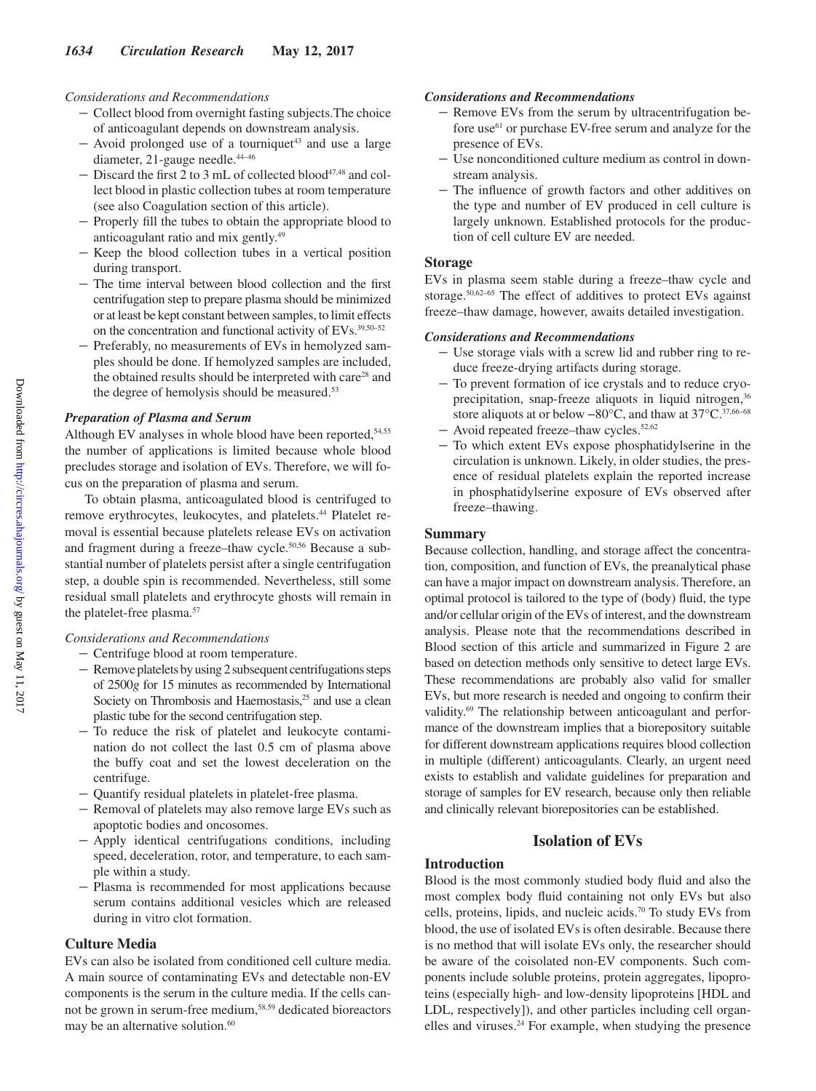#### *Considerations and Recommendations*

- Collect blood from overnight fasting subjects.The choice of anticoagulant depends on downstream analysis.
- $-$  Avoid prolonged use of a tourniquet<sup>43</sup> and use a large diameter, 21-gauge needle.<sup>44-46</sup>
- Discard the first 2 to 3 mL of collected blood<sup>47,48</sup> and collect blood in plastic collection tubes at room temperature (see also Coagulation section of this article).
- Properly fill the tubes to obtain the appropriate blood to anticoagulant ratio and mix gently.49
- Keep the blood collection tubes in a vertical position during transport.
- The time interval between blood collection and the first centrifugation step to prepare plasma should be minimized or at least be kept constant between samples, to limit effects on the concentration and functional activity of EVs.39,50–52
- Preferably, no measurements of EVs in hemolyzed samples should be done. If hemolyzed samples are included, the obtained results should be interpreted with care<sup>28</sup> and the degree of hemolysis should be measured.<sup>53</sup>

#### *Preparation of Plasma and Serum*

Although EV analyses in whole blood have been reported, 54,55 the number of applications is limited because whole blood precludes storage and isolation of EVs. Therefore, we will focus on the preparation of plasma and serum.

To obtain plasma, anticoagulated blood is centrifuged to remove erythrocytes, leukocytes, and platelets.<sup>44</sup> Platelet removal is essential because platelets release EVs on activation and fragment during a freeze–thaw cycle.<sup>50,56</sup> Because a substantial number of platelets persist after a single centrifugation step, a double spin is recommended. Nevertheless, still some residual small platelets and erythrocyte ghosts will remain in the platelet-free plasma.<sup>57</sup>

# *Considerations and Recommendations*

- Centrifuge blood at room temperature.
- Remove platelets by using 2 subsequent centrifugations steps of 2500*g* for 15 minutes as recommended by International Society on Thrombosis and Haemostasis, $25$  and use a clean plastic tube for the second centrifugation step.
- To reduce the risk of platelet and leukocyte contamination do not collect the last 0.5 cm of plasma above the buffy coat and set the lowest deceleration on the centrifuge.
- Quantify residual platelets in platelet-free plasma.
- Removal of platelets may also remove large EVs such as apoptotic bodies and oncosomes.
- Apply identical centrifugations conditions, including speed, deceleration, rotor, and temperature, to each sample within a study.
- Plasma is recommended for most applications because serum contains additional vesicles which are released during in vitro clot formation.

#### **Culture Media**

EVs can also be isolated from conditioned cell culture media. A main source of contaminating EVs and detectable non-EV components is the serum in the culture media. If the cells cannot be grown in serum-free medium,58,59 dedicated bioreactors may be an alternative solution.<sup>60</sup>

## *Considerations and Recommendations*

- Remove EVs from the serum by ultracentrifugation before use<sup>61</sup> or purchase EV-free serum and analyze for the presence of EVs.
- Use nonconditioned culture medium as control in downstream analysis.
- The influence of growth factors and other additives on the type and number of EV produced in cell culture is largely unknown. Established protocols for the production of cell culture EV are needed.

## **Storage**

EVs in plasma seem stable during a freeze–thaw cycle and storage.<sup>50,62–65</sup> The effect of additives to protect EVs against freeze–thaw damage, however, awaits detailed investigation.

### *Considerations and Recommendations*

- Use storage vials with a screw lid and rubber ring to reduce freeze-drying artifacts during storage.
- To prevent formation of ice crystals and to reduce cryoprecipitation, snap-freeze aliquots in liquid nitrogen,<sup>36</sup> store aliquots at or below –80°C, and thaw at 37°C.<sup>37,66–68</sup>
- Avoid repeated freeze-thaw cycles.<sup>52,62</sup>
- To which extent EVs expose phosphatidylserine in the circulation is unknown. Likely, in older studies, the presence of residual platelets explain the reported increase in phosphatidylserine exposure of EVs observed after freeze–thawing.

#### **Summary**

Because collection, handling, and storage affect the concentration, composition, and function of EVs, the preanalytical phase can have a major impact on downstream analysis. Therefore, an optimal protocol is tailored to the type of (body) fluid, the type and/or cellular origin of the EVs of interest, and the downstream analysis. Please note that the recommendations described in Blood section of this article and summarized in Figure 2 are based on detection methods only sensitive to detect large EVs. These recommendations are probably also valid for smaller EVs, but more research is needed and ongoing to confirm their validity.<sup>69</sup> The relationship between anticoagulant and performance of the downstream implies that a biorepository suitable for different downstream applications requires blood collection in multiple (different) anticoagulants. Clearly, an urgent need exists to establish and validate guidelines for preparation and storage of samples for EV research, because only then reliable and clinically relevant biorepositories can be established.

# **Isolation of EVs**

## **Introduction**

Blood is the most commonly studied body fluid and also the most complex body fluid containing not only EVs but also cells, proteins, lipids, and nucleic acids.70 To study EVs from blood, the use of isolated EVs is often desirable. Because there is no method that will isolate EVs only, the researcher should be aware of the coisolated non-EV components. Such components include soluble proteins, protein aggregates, lipoproteins (especially high- and low-density lipoproteins [HDL and LDL, respectively]), and other particles including cell organelles and viruses.24 For example, when studying the presence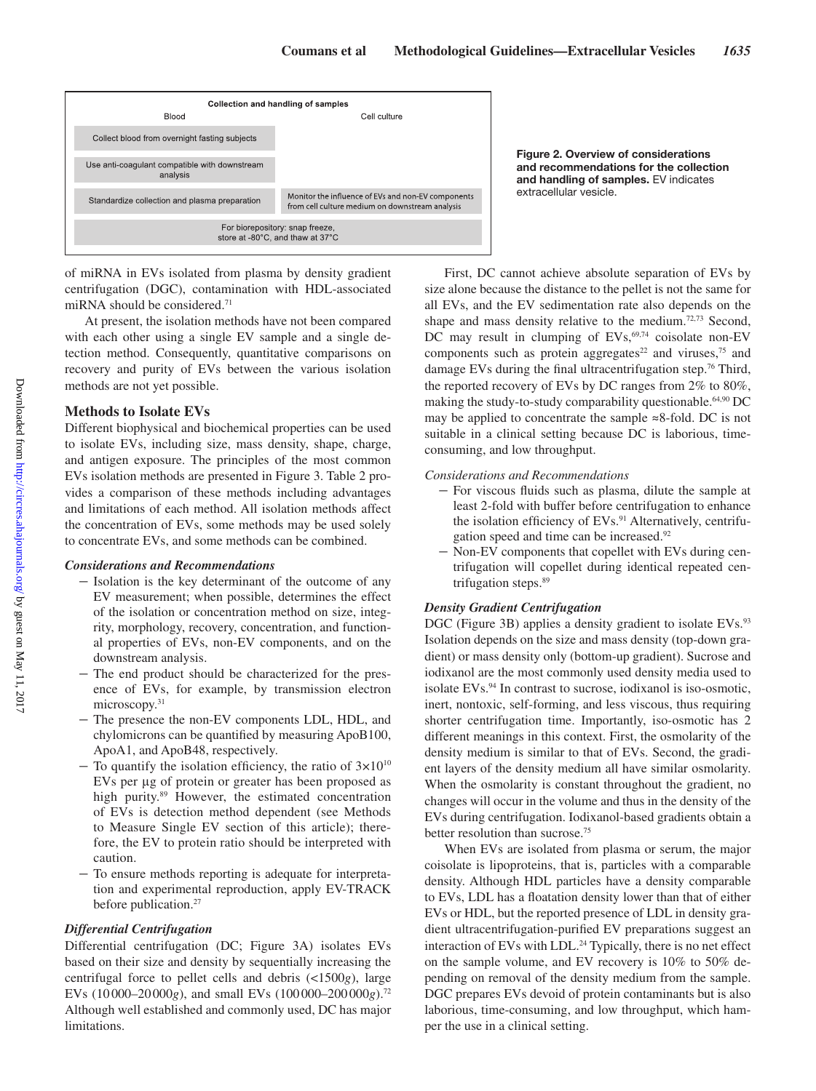| Collection and handling of samples                                  |                                                                                                       |  |  |
|---------------------------------------------------------------------|-------------------------------------------------------------------------------------------------------|--|--|
| <b>Blood</b>                                                        | Cell culture                                                                                          |  |  |
| Collect blood from overnight fasting subjects                       |                                                                                                       |  |  |
| Use anti-coagulant compatible with downstream<br>analysis           |                                                                                                       |  |  |
| Standardize collection and plasma preparation                       | Monitor the influence of EVs and non-EV components<br>from cell culture medium on downstream analysis |  |  |
| For biorepository: snap freeze,<br>store at -80°C, and thaw at 37°C |                                                                                                       |  |  |

of miRNA in EVs isolated from plasma by density gradient centrifugation (DGC), contamination with HDL-associated miRNA should be considered.<sup>71</sup>

At present, the isolation methods have not been compared with each other using a single EV sample and a single detection method. Consequently, quantitative comparisons on recovery and purity of EVs between the various isolation methods are not yet possible.

## **Methods to Isolate EVs**

Different biophysical and biochemical properties can be used to isolate EVs, including size, mass density, shape, charge, and antigen exposure. The principles of the most common EVs isolation methods are presented in Figure 3. Table 2 provides a comparison of these methods including advantages and limitations of each method. All isolation methods affect the concentration of EVs, some methods may be used solely to concentrate EVs, and some methods can be combined.

#### *Considerations and Recommendations*

- Isolation is the key determinant of the outcome of any EV measurement; when possible, determines the effect of the isolation or concentration method on size, integrity, morphology, recovery, concentration, and functional properties of EVs, non-EV components, and on the downstream analysis.
- The end product should be characterized for the presence of EVs, for example, by transmission electron microscopy.<sup>31</sup>
- The presence the non-EV components LDL, HDL, and chylomicrons can be quantified by measuring ApoB100, ApoA1, and ApoB48, respectively.
- To quantify the isolation efficiency, the ratio of  $3\times10^{10}$ EVs per μg of protein or greater has been proposed as high purity.89 However, the estimated concentration of EVs is detection method dependent (see Methods to Measure Single EV section of this article); therefore, the EV to protein ratio should be interpreted with caution.
- To ensure methods reporting is adequate for interpretation and experimental reproduction, apply EV-TRACK before publication.<sup>27</sup>

#### *Differential Centrifugation*

Differential centrifugation (DC; Figure 3A) isolates EVs based on their size and density by sequentially increasing the centrifugal force to pellet cells and debris (<1500*g*), large EVs (10 000–20000*g*), and small EVs (100 000–200000*g*).72 Although well established and commonly used, DC has major limitations.

and recommendations for the collection and handling of samples. EV indicates extracellular vesicle.

Figure 2. Overview of considerations

First, DC cannot achieve absolute separation of EVs by size alone because the distance to the pellet is not the same for all EVs, and the EV sedimentation rate also depends on the shape and mass density relative to the medium.<sup>72,73</sup> Second, DC may result in clumping of  $EVs$ ,<sup>69,74</sup> coisolate non-EV components such as protein aggregates<sup>22</sup> and viruses,<sup>75</sup> and damage EVs during the final ultracentrifugation step.<sup>76</sup> Third, the reported recovery of EVs by DC ranges from 2% to 80%, making the study-to-study comparability questionable.<sup>64,90</sup> DC may be applied to concentrate the sample ≈8-fold. DC is not suitable in a clinical setting because DC is laborious, timeconsuming, and low throughput.

## *Considerations and Recommendations*

- For viscous fluids such as plasma, dilute the sample at least 2-fold with buffer before centrifugation to enhance the isolation efficiency of EVs.<sup>91</sup> Alternatively, centrifugation speed and time can be increased.92
- Non-EV components that copellet with EVs during centrifugation will copellet during identical repeated centrifugation steps.<sup>89</sup>

### *Density Gradient Centrifugation*

DGC (Figure 3B) applies a density gradient to isolate EVs.<sup>93</sup> Isolation depends on the size and mass density (top-down gradient) or mass density only (bottom-up gradient). Sucrose and iodixanol are the most commonly used density media used to isolate EVs.94 In contrast to sucrose, iodixanol is iso-osmotic, inert, nontoxic, self-forming, and less viscous, thus requiring shorter centrifugation time. Importantly, iso-osmotic has 2 different meanings in this context. First, the osmolarity of the density medium is similar to that of EVs. Second, the gradient layers of the density medium all have similar osmolarity. When the osmolarity is constant throughout the gradient, no changes will occur in the volume and thus in the density of the EVs during centrifugation. Iodixanol-based gradients obtain a better resolution than sucrose.<sup>75</sup>

When EVs are isolated from plasma or serum, the major coisolate is lipoproteins, that is, particles with a comparable density. Although HDL particles have a density comparable to EVs, LDL has a floatation density lower than that of either EVs or HDL, but the reported presence of LDL in density gradient ultracentrifugation-purified EV preparations suggest an interaction of EVs with LDL.<sup>24</sup> Typically, there is no net effect on the sample volume, and EV recovery is 10% to 50% depending on removal of the density medium from the sample. DGC prepares EVs devoid of protein contaminants but is also laborious, time-consuming, and low throughput, which hamper the use in a clinical setting.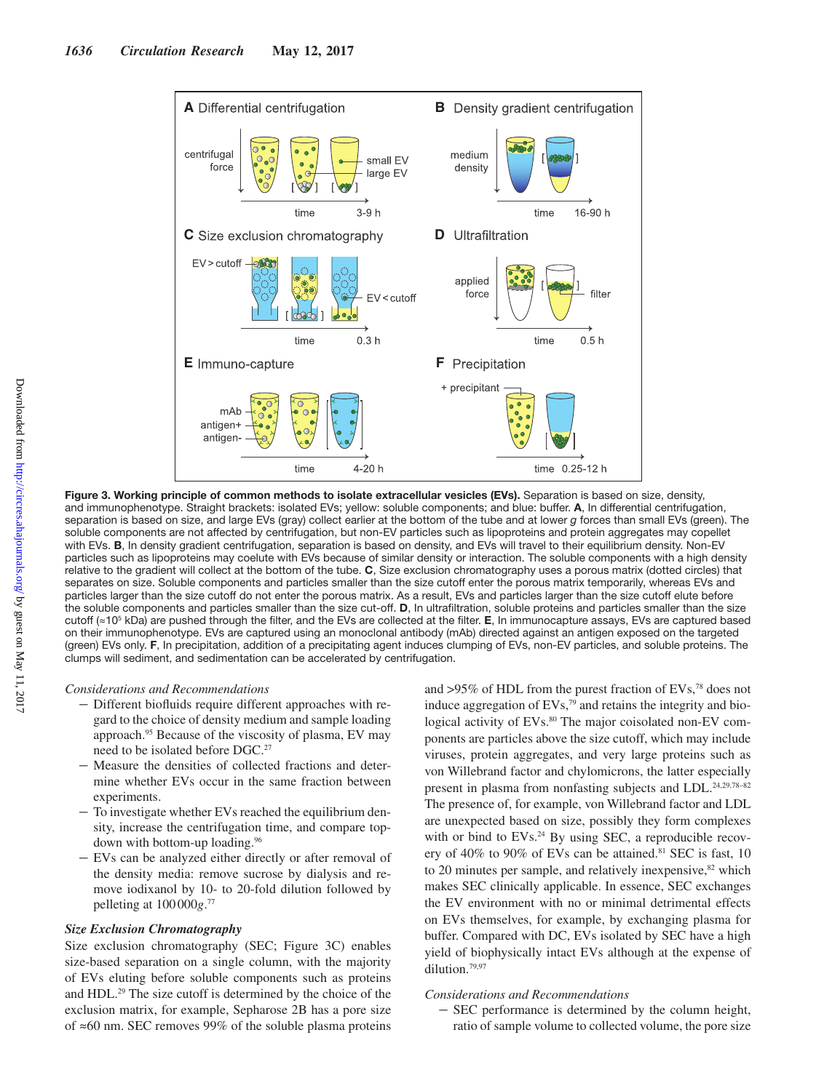

Figure 3. Working principle of common methods to isolate extracellular vesicles (EVs). Separation is based on size, density, and immunophenotype. Straight brackets: isolated EVs; yellow: soluble components; and blue: buffer. A, In differential centrifugation, separation is based on size, and large EVs (gray) collect earlier at the bottom of the tube and at lower *g* forces than small EVs (green). The soluble components are not affected by centrifugation, but non-EV particles such as lipoproteins and protein aggregates may copellet with EVs. B, In density gradient centrifugation, separation is based on density, and EVs will travel to their equilibrium density. Non-EV particles such as lipoproteins may coelute with EVs because of similar density or interaction. The soluble components with a high density relative to the gradient will collect at the bottom of the tube. C, Size exclusion chromatography uses a porous matrix (dotted circles) that separates on size. Soluble components and particles smaller than the size cutoff enter the porous matrix temporarily, whereas EVs and particles larger than the size cutoff do not enter the porous matrix. As a result, EVs and particles larger than the size cutoff elute before the soluble components and particles smaller than the size cut-off. D, In ultrafiltration, soluble proteins and particles smaller than the size cutoff (≈10<sup>5</sup> kDa) are pushed through the filter, and the EVs are collected at the filter. E, In immunocapture assays, EVs are captured based on their immunophenotype. EVs are captured using an monoclonal antibody (mAb) directed against an antigen exposed on the targeted (green) EVs only. F, In precipitation, addition of a precipitating agent induces clumping of EVs, non-EV particles, and soluble proteins. The clumps will sediment, and sedimentation can be accelerated by centrifugation.

*Considerations and Recommendations*

- Different biofluids require different approaches with regard to the choice of density medium and sample loading approach.95 Because of the viscosity of plasma, EV may need to be isolated before DGC.<sup>27</sup>
- Measure the densities of collected fractions and determine whether EVs occur in the same fraction between experiments.
- To investigate whether EVs reached the equilibrium density, increase the centrifugation time, and compare topdown with bottom-up loading.<sup>96</sup>
- EVs can be analyzed either directly or after removal of the density media: remove sucrose by dialysis and remove iodixanol by 10- to 20-fold dilution followed by pelleting at 100000*g*. 77

#### *Size Exclusion Chromatography*

Size exclusion chromatography (SEC; Figure 3C) enables size-based separation on a single column, with the majority of EVs eluting before soluble components such as proteins and HDL.29 The size cutoff is determined by the choice of the exclusion matrix, for example, Sepharose 2B has a pore size of ≈60 nm. SEC removes 99% of the soluble plasma proteins and >95% of HDL from the purest fraction of EVs,78 does not induce aggregation of EVs,<sup>79</sup> and retains the integrity and biological activity of EVs.<sup>80</sup> The major coisolated non-EV components are particles above the size cutoff, which may include viruses, protein aggregates, and very large proteins such as von Willebrand factor and chylomicrons, the latter especially present in plasma from nonfasting subjects and LDL.24,29,78–82 The presence of, for example, von Willebrand factor and LDL are unexpected based on size, possibly they form complexes with or bind to  $EVs.<sup>24</sup>$  By using SEC, a reproducible recovery of 40% to 90% of EVs can be attained.<sup>81</sup> SEC is fast, 10 to 20 minutes per sample, and relatively inexpensive,<sup>82</sup> which makes SEC clinically applicable. In essence, SEC exchanges the EV environment with no or minimal detrimental effects on EVs themselves, for example, by exchanging plasma for buffer. Compared with DC, EVs isolated by SEC have a high yield of biophysically intact EVs although at the expense of dilution.79,97

#### *Considerations and Recommendations*

– SEC performance is determined by the column height, ratio of sample volume to collected volume, the pore size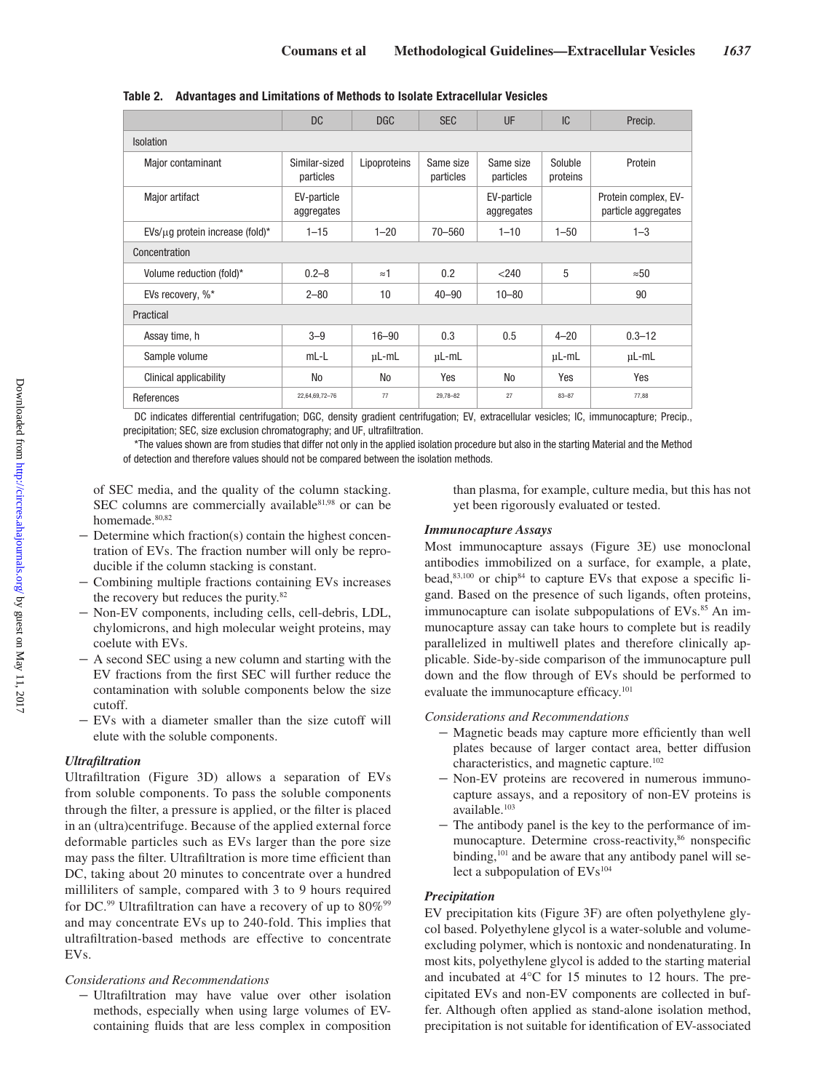|                                       | D <sub>C</sub>             | <b>DGC</b>   | <b>SEC</b>             | UF                        | IC                  | Precip.                                     |
|---------------------------------------|----------------------------|--------------|------------------------|---------------------------|---------------------|---------------------------------------------|
| Isolation                             |                            |              |                        |                           |                     |                                             |
| Major contaminant                     | Similar-sized<br>particles | Lipoproteins | Same size<br>particles | Same size<br>particles    | Soluble<br>proteins | Protein                                     |
| Major artifact                        | EV-particle<br>aggregates  |              |                        | EV-particle<br>aggregates |                     | Protein complex, EV-<br>particle aggregates |
| EVs/ $\mu$ g protein increase (fold)* | $1 - 15$                   | $1 - 20$     | 70-560                 | $1 - 10$                  | $1 - 50$            | $1 - 3$                                     |
| Concentration                         |                            |              |                        |                           |                     |                                             |
| Volume reduction (fold)*              | $0.2 - 8$                  | $\approx$ 1  | 0.2                    | < 240                     | 5                   | $\approx 50$                                |
| EVs recovery, %*                      | $2 - 80$                   | 10           | $40 - 90$              | $10 - 80$                 |                     | 90                                          |
| Practical                             |                            |              |                        |                           |                     |                                             |
| Assay time, h                         | $3 - 9$                    | $16 - 90$    | 0.3                    | 0.5                       | $4 - 20$            | $0.3 - 12$                                  |
| Sample volume                         | $mL-L$                     | uL-mL        | uL-mL                  |                           | uL-mL               | uL-mL                                       |
| Clinical applicability                | No                         | No           | Yes                    | N <sub>0</sub>            | Yes                 | Yes                                         |
| References                            | 22,64,69,72-76             | 77           | 29.78-82               | 27                        | $83 - 87$           | 77.88                                       |

| Table 2.    Advantages and Limitations of Methods to Isolate Extracellular Vesicles |  |
|-------------------------------------------------------------------------------------|--|
|-------------------------------------------------------------------------------------|--|

DC indicates differential centrifugation; DGC, density gradient centrifugation; EV, extracellular vesicles; IC, immunocapture; Precip., precipitation; SEC, size exclusion chromatography; and UF, ultrafiltration.

\*The values shown are from studies that differ not only in the applied isolation procedure but also in the starting Material and the Method of detection and therefore values should not be compared between the isolation methods.

- of SEC media, and the quality of the column stacking. SEC columns are commercially available $81,98$  or can be homemade.<sup>80,82</sup>
- Determine which fraction(s) contain the highest concentration of EVs. The fraction number will only be reproducible if the column stacking is constant.
- Combining multiple fractions containing EVs increases the recovery but reduces the purity.<sup>82</sup>
- Non-EV components, including cells, cell-debris, LDL, chylomicrons, and high molecular weight proteins, may coelute with EVs.
- A second SEC using a new column and starting with the EV fractions from the first SEC will further reduce the contamination with soluble components below the size cutoff.
- EVs with a diameter smaller than the size cutoff will elute with the soluble components.

## *Ultrafiltration*

Ultrafiltration (Figure 3D) allows a separation of EVs from soluble components. To pass the soluble components through the filter, a pressure is applied, or the filter is placed in an (ultra)centrifuge. Because of the applied external force deformable particles such as EVs larger than the pore size may pass the filter. Ultrafiltration is more time efficient than DC, taking about 20 minutes to concentrate over a hundred milliliters of sample, compared with 3 to 9 hours required for DC.<sup>99</sup> Ultrafiltration can have a recovery of up to  $80\%$ <sup>99</sup> and may concentrate EVs up to 240-fold. This implies that ultrafiltration-based methods are effective to concentrate EVs.

## *Considerations and Recommendations*

– Ultrafiltration may have value over other isolation methods, especially when using large volumes of EVcontaining fluids that are less complex in composition than plasma, for example, culture media, but this has not yet been rigorously evaluated or tested.

## *Immunocapture Assays*

Most immunocapture assays (Figure 3E) use monoclonal antibodies immobilized on a surface, for example, a plate, bead,<sup>83,100</sup> or chip<sup>84</sup> to capture EVs that expose a specific ligand. Based on the presence of such ligands, often proteins, immunocapture can isolate subpopulations of EVs.<sup>85</sup> An immunocapture assay can take hours to complete but is readily parallelized in multiwell plates and therefore clinically applicable. Side-by-side comparison of the immunocapture pull down and the flow through of EVs should be performed to evaluate the immunocapture efficacy.101

#### *Considerations and Recommendations*

- Magnetic beads may capture more efficiently than well plates because of larger contact area, better diffusion characteristics, and magnetic capture.<sup>102</sup>
- Non-EV proteins are recovered in numerous immunocapture assays, and a repository of non-EV proteins is available.103
- The antibody panel is the key to the performance of immunocapture. Determine cross-reactivity,<sup>86</sup> nonspecific binding,<sup>101</sup> and be aware that any antibody panel will select a subpopulation of  $EVs<sup>104</sup>$

#### *Precipitation*

EV precipitation kits (Figure 3F) are often polyethylene glycol based. Polyethylene glycol is a water-soluble and volumeexcluding polymer, which is nontoxic and nondenaturating. In most kits, polyethylene glycol is added to the starting material and incubated at 4°C for 15 minutes to 12 hours. The precipitated EVs and non-EV components are collected in buffer. Although often applied as stand-alone isolation method, precipitation is not suitable for identification of EV-associated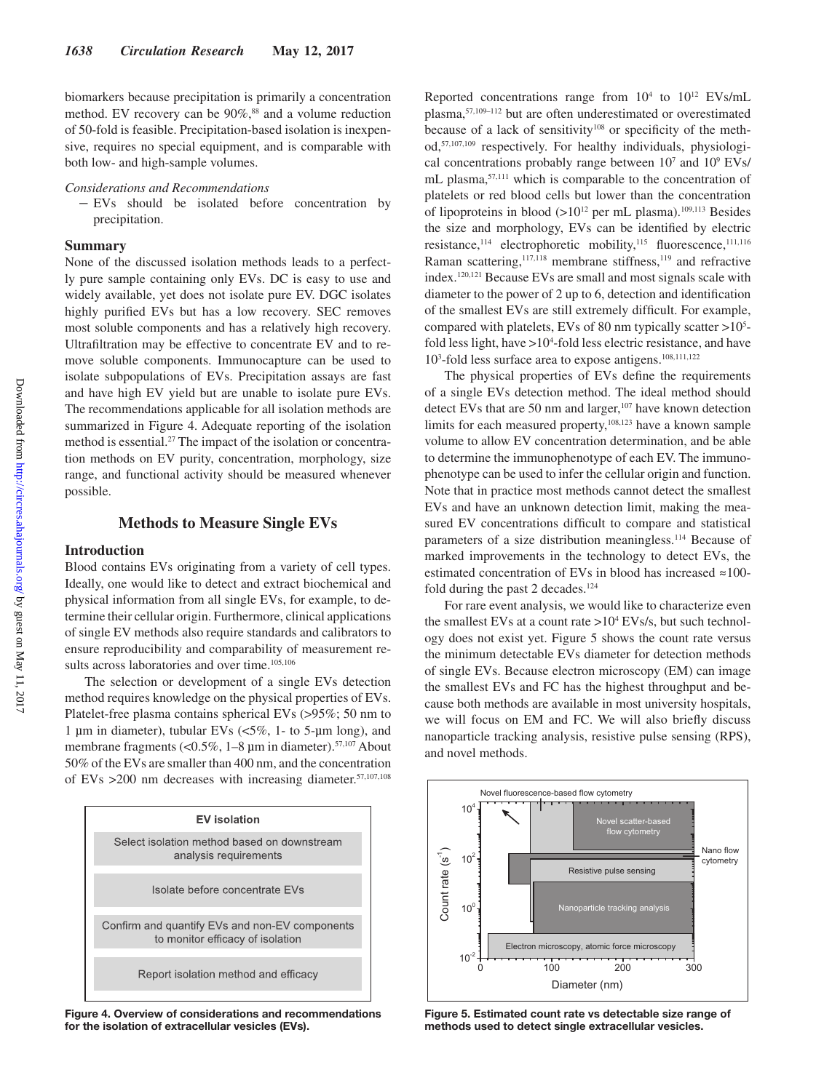biomarkers because precipitation is primarily a concentration method. EV recovery can be 90%,<sup>88</sup> and a volume reduction of 50-fold is feasible. Precipitation-based isolation is inexpensive, requires no special equipment, and is comparable with both low- and high-sample volumes.

*Considerations and Recommendations*

– EVs should be isolated before concentration by precipitation.

#### **Summary**

None of the discussed isolation methods leads to a perfectly pure sample containing only EVs. DC is easy to use and widely available, yet does not isolate pure EV. DGC isolates highly purified EVs but has a low recovery. SEC removes most soluble components and has a relatively high recovery. Ultrafiltration may be effective to concentrate EV and to remove soluble components. Immunocapture can be used to isolate subpopulations of EVs. Precipitation assays are fast and have high EV yield but are unable to isolate pure EVs. The recommendations applicable for all isolation methods are summarized in Figure 4. Adequate reporting of the isolation method is essential.27 The impact of the isolation or concentration methods on EV purity, concentration, morphology, size range, and functional activity should be measured whenever possible.

## **Methods to Measure Single EVs**

#### **Introduction**

Blood contains EVs originating from a variety of cell types. Ideally, one would like to detect and extract biochemical and physical information from all single EVs, for example, to determine their cellular origin. Furthermore, clinical applications of single EV methods also require standards and calibrators to ensure reproducibility and comparability of measurement results across laboratories and over time.<sup>105,106</sup>

The selection or development of a single EVs detection method requires knowledge on the physical properties of EVs. Platelet-free plasma contains spherical EVs (>95%; 50 nm to 1 µm in diameter), tubular EVs (<5%, 1- to 5-µm long), and membrane fragments (<0.5%, 1–8 µm in diameter).<sup>57,107</sup> About 50% of the EVs are smaller than 400 nm, and the concentration of EVs >200 nm decreases with increasing diameter.57,107,108



Figure 4. Overview of considerations and recommendations for the isolation of extracellular vesicles (EVs).

Reported concentrations range from  $10^4$  to  $10^{12}$  EVs/mL plasma,57,109–112 but are often underestimated or overestimated because of a lack of sensitivity<sup>108</sup> or specificity of the method,57,107,109 respectively. For healthy individuals, physiological concentrations probably range between  $10<sup>7</sup>$  and  $10<sup>9</sup>$  EVs/ mL plasma,<sup>57,111</sup> which is comparable to the concentration of platelets or red blood cells but lower than the concentration of lipoproteins in blood  $(>10^{12} \text{ per mL plasma})$ .<sup>109,113</sup> Besides the size and morphology, EVs can be identified by electric resistance,<sup>114</sup> electrophoretic mobility,<sup>115</sup> fluorescence,<sup>111,116</sup> Raman scattering, $117,118$  membrane stiffness, $119$  and refractive index.120,121 Because EVs are small and most signals scale with diameter to the power of 2 up to 6, detection and identification of the smallest EVs are still extremely difficult. For example, compared with platelets, EVs of 80 nm typically scatter  $>10^5$ fold less light, have >10<sup>4</sup>-fold less electric resistance, and have 103 -fold less surface area to expose antigens.108,111,122

The physical properties of EVs define the requirements of a single EVs detection method. The ideal method should detect EVs that are 50 nm and larger,<sup>107</sup> have known detection limits for each measured property,<sup>108,123</sup> have a known sample volume to allow EV concentration determination, and be able to determine the immunophenotype of each EV. The immunophenotype can be used to infer the cellular origin and function. Note that in practice most methods cannot detect the smallest EVs and have an unknown detection limit, making the measured EV concentrations difficult to compare and statistical parameters of a size distribution meaningless.114 Because of marked improvements in the technology to detect EVs, the estimated concentration of EVs in blood has increased ≈100 fold during the past 2 decades.<sup>124</sup>

For rare event analysis, we would like to characterize even the smallest EVs at a count rate >10<sup>4</sup> EVs/s, but such technology does not exist yet. Figure 5 shows the count rate versus the minimum detectable EVs diameter for detection methods of single EVs. Because electron microscopy (EM) can image the smallest EVs and FC has the highest throughput and because both methods are available in most university hospitals, we will focus on EM and FC. We will also briefly discuss nanoparticle tracking analysis, resistive pulse sensing (RPS), and novel methods.



Figure 5. Estimated count rate vs detectable size range of methods used to detect single extracellular vesicles.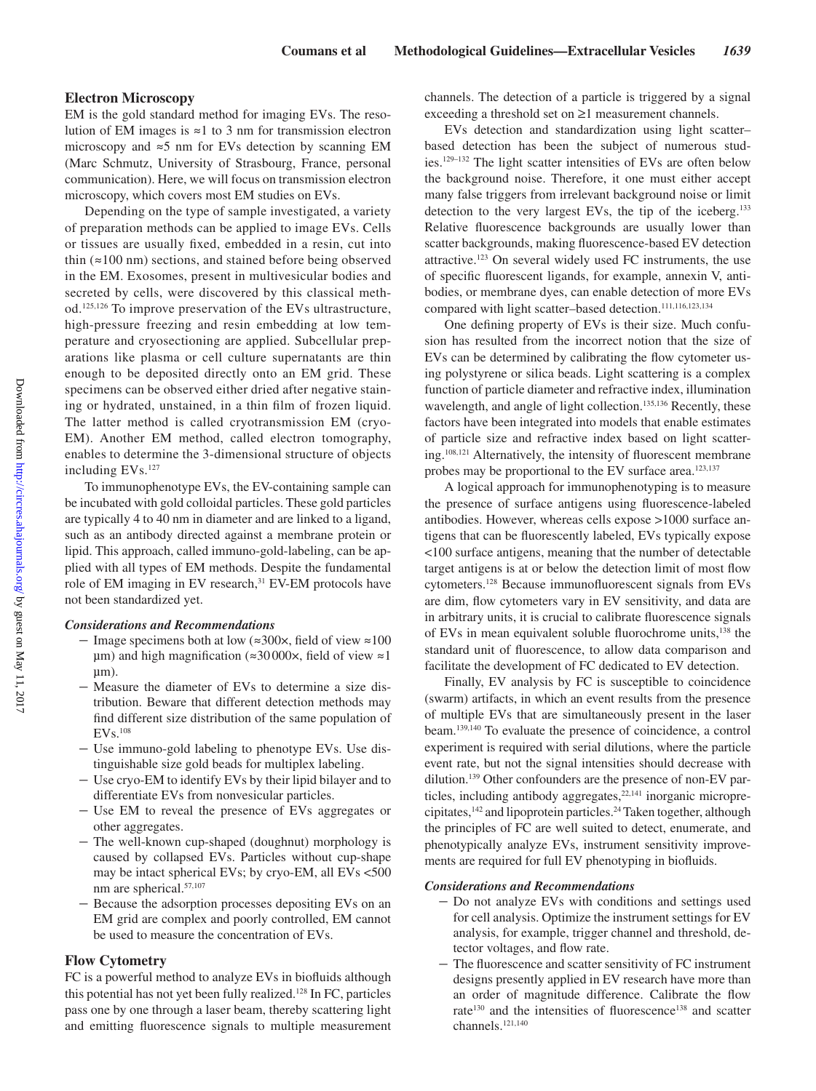## **Electron Microscopy**

EM is the gold standard method for imaging EVs. The resolution of EM images is  $\approx$ 1 to 3 nm for transmission electron microscopy and ≈5 nm for EVs detection by scanning EM (Marc Schmutz, University of Strasbourg, France, personal communication). Here, we will focus on transmission electron microscopy, which covers most EM studies on EVs.

Depending on the type of sample investigated, a variety of preparation methods can be applied to image EVs. Cells or tissues are usually fixed, embedded in a resin, cut into thin  $(\approx 100 \text{ nm})$  sections, and stained before being observed in the EM. Exosomes, present in multivesicular bodies and secreted by cells, were discovered by this classical method.125,126 To improve preservation of the EVs ultrastructure, high-pressure freezing and resin embedding at low temperature and cryosectioning are applied. Subcellular preparations like plasma or cell culture supernatants are thin enough to be deposited directly onto an EM grid. These specimens can be observed either dried after negative staining or hydrated, unstained, in a thin film of frozen liquid. The latter method is called cryotransmission EM (cryo-EM). Another EM method, called electron tomography, enables to determine the 3-dimensional structure of objects including EVs.<sup>127</sup>

To immunophenotype EVs, the EV-containing sample can be incubated with gold colloidal particles. These gold particles are typically 4 to 40 nm in diameter and are linked to a ligand, such as an antibody directed against a membrane protein or lipid. This approach, called immuno-gold-labeling, can be applied with all types of EM methods. Despite the fundamental role of EM imaging in EV research,<sup>31</sup> EV-EM protocols have not been standardized yet.

#### *Considerations and Recommendations*

- Image specimens both at low ( $\approx 300 \times$ , field of view  $\approx 100$ µm) and high magnification (≈30000×, field of view ≈1 µm).
- Measure the diameter of EVs to determine a size distribution. Beware that different detection methods may find different size distribution of the same population of EVs.108
- Use immuno-gold labeling to phenotype EVs. Use distinguishable size gold beads for multiplex labeling.
- Use cryo-EM to identify EVs by their lipid bilayer and to differentiate EVs from nonvesicular particles.
- Use EM to reveal the presence of EVs aggregates or other aggregates.
- The well-known cup-shaped (doughnut) morphology is caused by collapsed EVs. Particles without cup-shape may be intact spherical EVs; by cryo-EM, all EVs <500 nm are spherical.57,107
- Because the adsorption processes depositing EVs on an EM grid are complex and poorly controlled, EM cannot be used to measure the concentration of EVs.

## **Flow Cytometry**

FC is a powerful method to analyze EVs in biofluids although this potential has not yet been fully realized.128 In FC, particles pass one by one through a laser beam, thereby scattering light and emitting fluorescence signals to multiple measurement channels. The detection of a particle is triggered by a signal exceeding a threshold set on ≥1 measurement channels.

EVs detection and standardization using light scatter– based detection has been the subject of numerous studies.129–132 The light scatter intensities of EVs are often below the background noise. Therefore, it one must either accept many false triggers from irrelevant background noise or limit detection to the very largest EVs, the tip of the iceberg.<sup>133</sup> Relative fluorescence backgrounds are usually lower than scatter backgrounds, making fluorescence-based EV detection attractive.123 On several widely used FC instruments, the use of specific fluorescent ligands, for example, annexin V, antibodies, or membrane dyes, can enable detection of more EVs compared with light scatter-based detection.<sup>111,116,123,134</sup>

One defining property of EVs is their size. Much confusion has resulted from the incorrect notion that the size of EVs can be determined by calibrating the flow cytometer using polystyrene or silica beads. Light scattering is a complex function of particle diameter and refractive index, illumination wavelength, and angle of light collection.<sup>135,136</sup> Recently, these factors have been integrated into models that enable estimates of particle size and refractive index based on light scattering.108,121 Alternatively, the intensity of fluorescent membrane probes may be proportional to the EV surface area.<sup>123,137</sup>

A logical approach for immunophenotyping is to measure the presence of surface antigens using fluorescence-labeled antibodies. However, whereas cells expose >1000 surface antigens that can be fluorescently labeled, EVs typically expose <100 surface antigens, meaning that the number of detectable target antigens is at or below the detection limit of most flow cytometers.128 Because immunofluorescent signals from EVs are dim, flow cytometers vary in EV sensitivity, and data are in arbitrary units, it is crucial to calibrate fluorescence signals of EVs in mean equivalent soluble fluorochrome units,138 the standard unit of fluorescence, to allow data comparison and facilitate the development of FC dedicated to EV detection.

Finally, EV analysis by FC is susceptible to coincidence (swarm) artifacts, in which an event results from the presence of multiple EVs that are simultaneously present in the laser beam.139,140 To evaluate the presence of coincidence, a control experiment is required with serial dilutions, where the particle event rate, but not the signal intensities should decrease with dilution.139 Other confounders are the presence of non-EV particles, including antibody aggregates,<sup>22,141</sup> inorganic microprecipitates,<sup>142</sup> and lipoprotein particles.<sup>24</sup> Taken together, although the principles of FC are well suited to detect, enumerate, and phenotypically analyze EVs, instrument sensitivity improvements are required for full EV phenotyping in biofluids.

#### *Considerations and Recommendations*

- Do not analyze EVs with conditions and settings used for cell analysis. Optimize the instrument settings for EV analysis, for example, trigger channel and threshold, detector voltages, and flow rate.
- The fluorescence and scatter sensitivity of FC instrument designs presently applied in EV research have more than an order of magnitude difference. Calibrate the flow rate<sup>130</sup> and the intensities of fluorescence<sup>138</sup> and scatter channels.121,140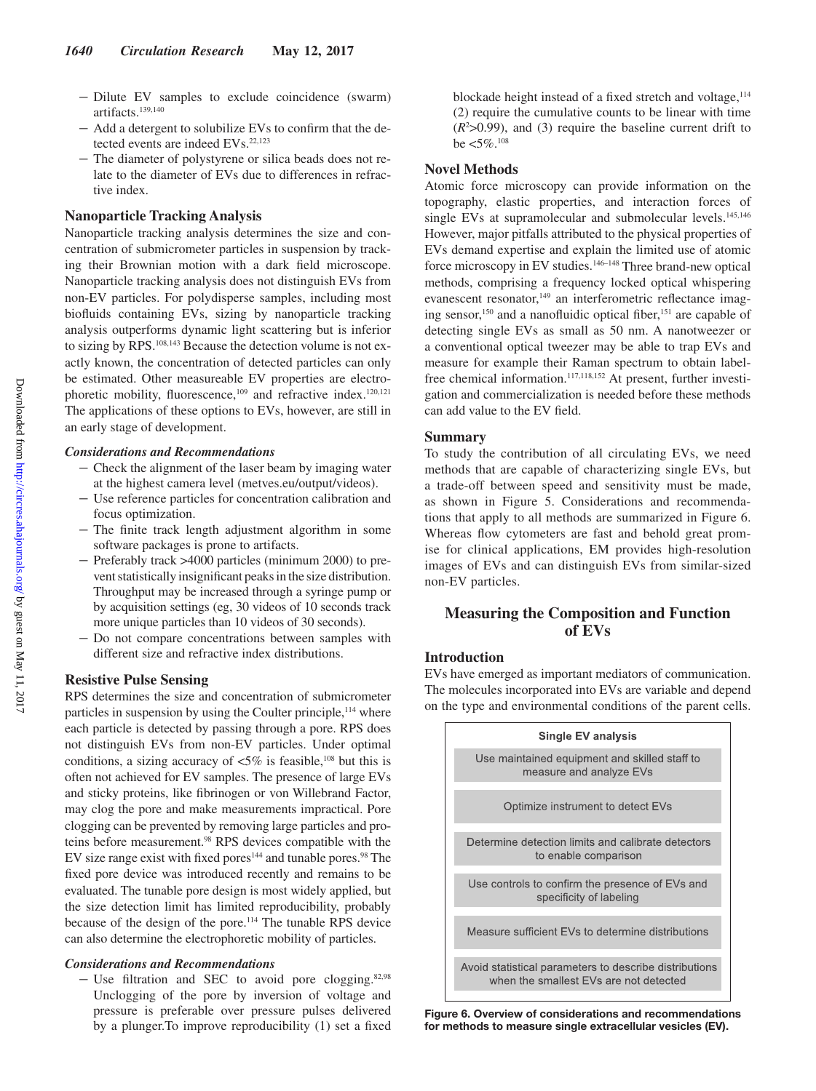- Dilute EV samples to exclude coincidence (swarm) artifacts.139,140
- Add a detergent to solubilize EVs to confirm that the detected events are indeed EVs.<sup>22,123</sup>
- The diameter of polystyrene or silica beads does not relate to the diameter of EVs due to differences in refractive index.

# **Nanoparticle Tracking Analysis**

Nanoparticle tracking analysis determines the size and concentration of submicrometer particles in suspension by tracking their Brownian motion with a dark field microscope. Nanoparticle tracking analysis does not distinguish EVs from non-EV particles. For polydisperse samples, including most biofluids containing EVs, sizing by nanoparticle tracking analysis outperforms dynamic light scattering but is inferior to sizing by RPS.<sup>108,143</sup> Because the detection volume is not exactly known, the concentration of detected particles can only be estimated. Other measureable EV properties are electrophoretic mobility, fluorescence,<sup>109</sup> and refractive index.<sup>120,121</sup> The applications of these options to EVs, however, are still in an early stage of development.

## *Considerations and Recommendations*

- Check the alignment of the laser beam by imaging water at the highest camera level (metves.eu/output/videos).
- Use reference particles for concentration calibration and focus optimization.
- The finite track length adjustment algorithm in some software packages is prone to artifacts.
- Preferably track >4000 particles (minimum 2000) to prevent statistically insignificant peaks in the size distribution. Throughput may be increased through a syringe pump or by acquisition settings (eg, 30 videos of 10 seconds track more unique particles than 10 videos of 30 seconds).
- Do not compare concentrations between samples with different size and refractive index distributions.

#### **Resistive Pulse Sensing**

RPS determines the size and concentration of submicrometer particles in suspension by using the Coulter principle,<sup>114</sup> where each particle is detected by passing through a pore. RPS does not distinguish EVs from non-EV particles. Under optimal conditions, a sizing accuracy of  $\langle 5\% \rangle$  is feasible,<sup>108</sup> but this is often not achieved for EV samples. The presence of large EVs and sticky proteins, like fibrinogen or von Willebrand Factor, may clog the pore and make measurements impractical. Pore clogging can be prevented by removing large particles and proteins before measurement.98 RPS devices compatible with the EV size range exist with fixed pores<sup>144</sup> and tunable pores.<sup>98</sup> The fixed pore device was introduced recently and remains to be evaluated. The tunable pore design is most widely applied, but the size detection limit has limited reproducibility, probably because of the design of the pore.114 The tunable RPS device can also determine the electrophoretic mobility of particles.

# *Considerations and Recommendations*

– Use filtration and SEC to avoid pore clogging. $82,98$ Unclogging of the pore by inversion of voltage and pressure is preferable over pressure pulses delivered by a plunger.To improve reproducibility (1) set a fixed blockade height instead of a fixed stretch and voltage,<sup>114</sup> (2) require the cumulative counts to be linear with time  $(R<sup>2</sup> > 0.99)$ , and (3) require the baseline current drift to be  $< 5\%$ <sup>108</sup>

## **Novel Methods**

Atomic force microscopy can provide information on the topography, elastic properties, and interaction forces of single EVs at supramolecular and submolecular levels.<sup>145,146</sup> However, major pitfalls attributed to the physical properties of EVs demand expertise and explain the limited use of atomic force microscopy in EV studies.<sup>146-148</sup> Three brand-new optical methods, comprising a frequency locked optical whispering evanescent resonator,<sup>149</sup> an interferometric reflectance imaging sensor,<sup>150</sup> and a nanofluidic optical fiber,<sup>151</sup> are capable of detecting single EVs as small as 50 nm. A nanotweezer or a conventional optical tweezer may be able to trap EVs and measure for example their Raman spectrum to obtain labelfree chemical information.<sup>117,118,152</sup> At present, further investigation and commercialization is needed before these methods can add value to the EV field.

#### **Summary**

To study the contribution of all circulating EVs, we need methods that are capable of characterizing single EVs, but a trade-off between speed and sensitivity must be made, as shown in Figure 5. Considerations and recommendations that apply to all methods are summarized in Figure 6. Whereas flow cytometers are fast and behold great promise for clinical applications, EM provides high-resolution images of EVs and can distinguish EVs from similar-sized non-EV particles.

# **Measuring the Composition and Function of EVs**

## **Introduction**

EVs have emerged as important mediators of communication. The molecules incorporated into EVs are variable and depend on the type and environmental conditions of the parent cells.

| <b>Single EV analysis</b>                                                                        |
|--------------------------------------------------------------------------------------------------|
| Use maintained equipment and skilled staff to<br>measure and analyze EVs                         |
| Optimize instrument to detect EVs                                                                |
| Determine detection limits and calibrate detectors<br>to enable comparison                       |
| Use controls to confirm the presence of EVs and<br>specificity of labeling                       |
| Measure sufficient EVs to determine distributions                                                |
| Avoid statistical parameters to describe distributions<br>when the smallest EVs are not detected |

Figure 6. Overview of considerations and recommendations for methods to measure single extracellular vesicles (EV).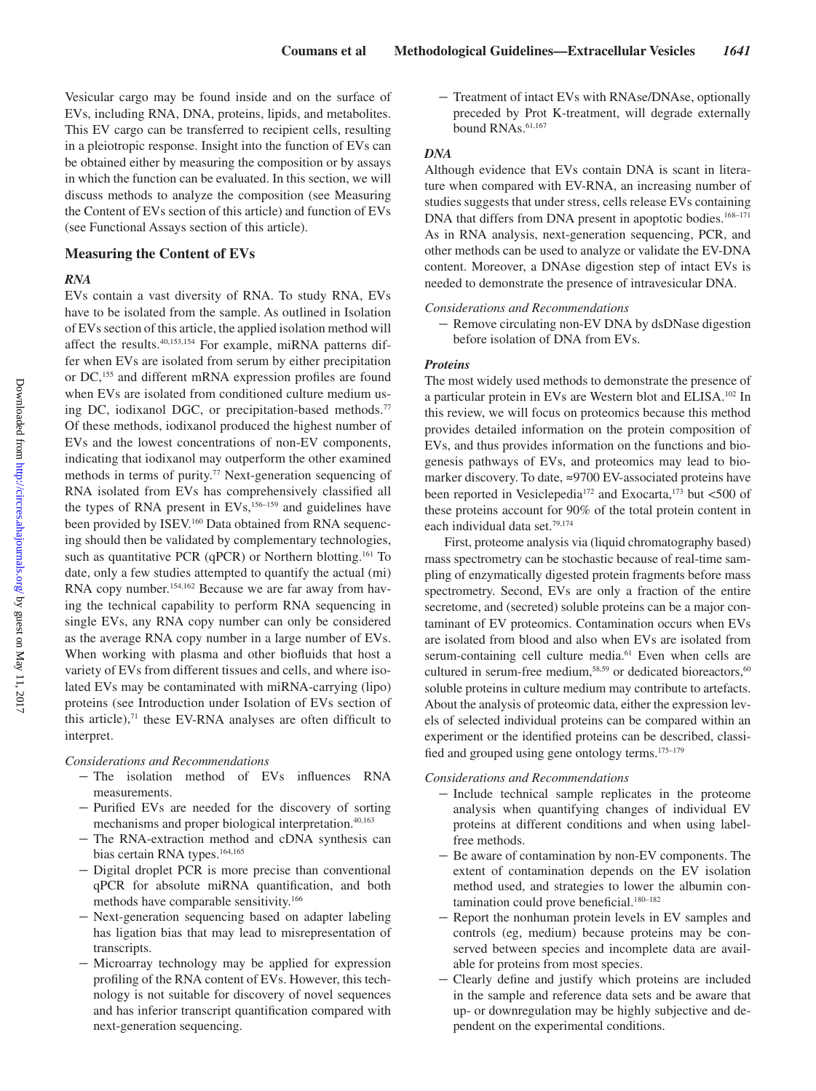Vesicular cargo may be found inside and on the surface of EVs, including RNA, DNA, proteins, lipids, and metabolites. This EV cargo can be transferred to recipient cells, resulting in a pleiotropic response. Insight into the function of EVs can be obtained either by measuring the composition or by assays in which the function can be evaluated. In this section, we will discuss methods to analyze the composition (see Measuring the Content of EVs section of this article) and function of EVs (see Functional Assays section of this article).

### **Measuring the Content of EVs**

### *RNA*

EVs contain a vast diversity of RNA. To study RNA, EVs have to be isolated from the sample. As outlined in Isolation of EVs section of this article, the applied isolation method will affect the results.40,153,154 For example, miRNA patterns differ when EVs are isolated from serum by either precipitation or DC,155 and different mRNA expression profiles are found when EVs are isolated from conditioned culture medium using DC, iodixanol DGC, or precipitation-based methods.<sup>77</sup> Of these methods, iodixanol produced the highest number of EVs and the lowest concentrations of non-EV components, indicating that iodixanol may outperform the other examined methods in terms of purity.<sup>77</sup> Next-generation sequencing of RNA isolated from EVs has comprehensively classified all the types of RNA present in  $EVs$ ,  $^{156-159}$  and guidelines have been provided by ISEV.160 Data obtained from RNA sequencing should then be validated by complementary technologies, such as quantitative PCR (qPCR) or Northern blotting.<sup>161</sup> To date, only a few studies attempted to quantify the actual (mi) RNA copy number.<sup>154,162</sup> Because we are far away from having the technical capability to perform RNA sequencing in single EVs, any RNA copy number can only be considered as the average RNA copy number in a large number of EVs. When working with plasma and other biofluids that host a variety of EVs from different tissues and cells, and where isolated EVs may be contaminated with miRNA-carrying (lipo) proteins (see Introduction under Isolation of EVs section of this article),<sup>71</sup> these EV-RNA analyses are often difficult to interpret.

## *Considerations and Recommendations*

- The isolation method of EVs influences RNA measurements.
- Purified EVs are needed for the discovery of sorting mechanisms and proper biological interpretation.40,163
- The RNA-extraction method and cDNA synthesis can bias certain RNA types.<sup>164,165</sup>
- Digital droplet PCR is more precise than conventional qPCR for absolute miRNA quantification, and both methods have comparable sensitivity.166
- Next-generation sequencing based on adapter labeling has ligation bias that may lead to misrepresentation of transcripts.
- Microarray technology may be applied for expression profiling of the RNA content of EVs. However, this technology is not suitable for discovery of novel sequences and has inferior transcript quantification compared with next-generation sequencing.

– Treatment of intact EVs with RNAse/DNAse, optionally preceded by Prot K-treatment, will degrade externally bound RNAs.<sup>61,167</sup>

### *DNA*

Although evidence that EVs contain DNA is scant in literature when compared with EV-RNA, an increasing number of studies suggests that under stress, cells release EVs containing DNA that differs from DNA present in apoptotic bodies.<sup>168–171</sup> As in RNA analysis, next-generation sequencing, PCR, and other methods can be used to analyze or validate the EV-DNA content. Moreover, a DNAse digestion step of intact EVs is needed to demonstrate the presence of intravesicular DNA.

#### *Considerations and Recommendations*

– Remove circulating non-EV DNA by dsDNase digestion before isolation of DNA from EVs.

### *Proteins*

The most widely used methods to demonstrate the presence of a particular protein in EVs are Western blot and ELISA.102 In this review, we will focus on proteomics because this method provides detailed information on the protein composition of EVs, and thus provides information on the functions and biogenesis pathways of EVs, and proteomics may lead to biomarker discovery. To date, ≈9700 EV-associated proteins have been reported in Vesiclepedia<sup>172</sup> and Exocarta,<sup>173</sup> but <500 of these proteins account for 90% of the total protein content in each individual data set.79,174

First, proteome analysis via (liquid chromatography based) mass spectrometry can be stochastic because of real-time sampling of enzymatically digested protein fragments before mass spectrometry. Second, EVs are only a fraction of the entire secretome, and (secreted) soluble proteins can be a major contaminant of EV proteomics. Contamination occurs when EVs are isolated from blood and also when EVs are isolated from serum-containing cell culture media.61 Even when cells are cultured in serum-free medium,<sup>58,59</sup> or dedicated bioreactors,<sup>60</sup> soluble proteins in culture medium may contribute to artefacts. About the analysis of proteomic data, either the expression levels of selected individual proteins can be compared within an experiment or the identified proteins can be described, classified and grouped using gene ontology terms.175–179

- *Considerations and Recommendations*
	- Include technical sample replicates in the proteome analysis when quantifying changes of individual EV proteins at different conditions and when using labelfree methods.
	- Be aware of contamination by non-EV components. The extent of contamination depends on the EV isolation method used, and strategies to lower the albumin contamination could prove beneficial.<sup>180-182</sup>
	- Report the nonhuman protein levels in EV samples and controls (eg, medium) because proteins may be conserved between species and incomplete data are available for proteins from most species.
	- Clearly define and justify which proteins are included in the sample and reference data sets and be aware that up- or downregulation may be highly subjective and dependent on the experimental conditions.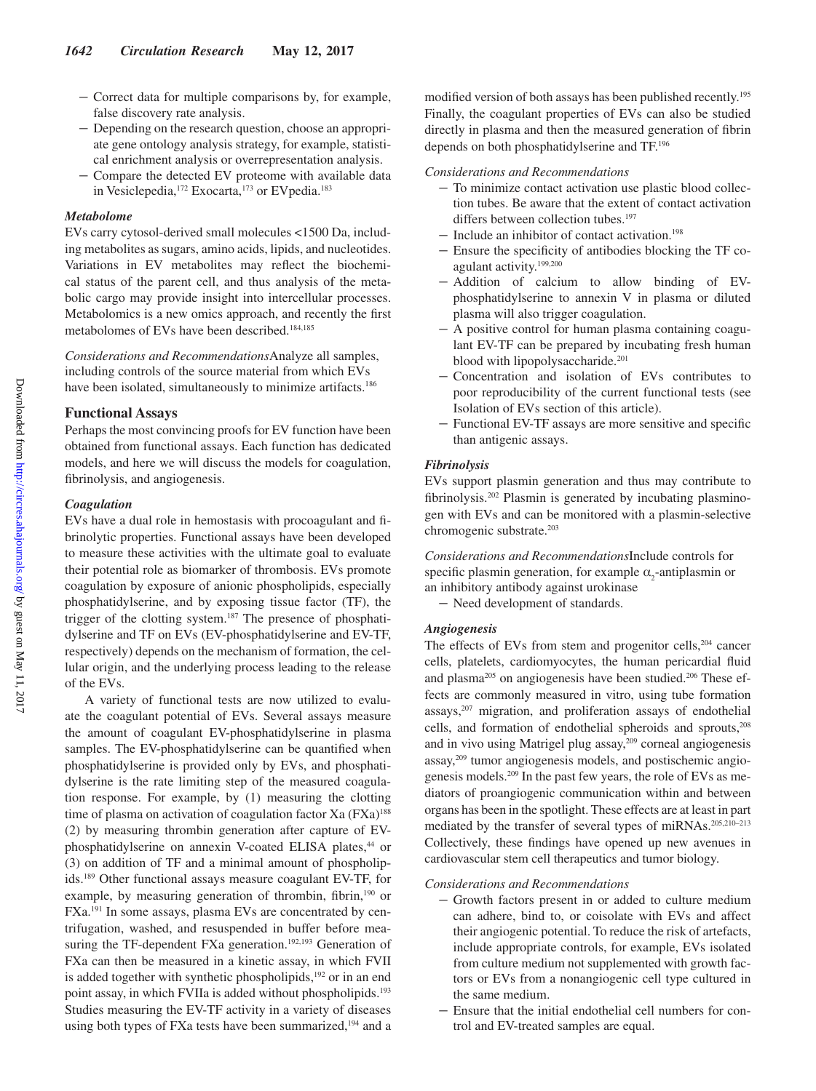- Correct data for multiple comparisons by, for example, false discovery rate analysis.
- Depending on the research question, choose an appropriate gene ontology analysis strategy, for example, statistical enrichment analysis or overrepresentation analysis.
- Compare the detected EV proteome with available data in Vesiclepedia,<sup>172</sup> Exocarta,<sup>173</sup> or EVpedia.<sup>183</sup>

## *Metabolome*

EVs carry cytosol-derived small molecules <1500 Da, including metabolites as sugars, amino acids, lipids, and nucleotides. Variations in EV metabolites may reflect the biochemical status of the parent cell, and thus analysis of the metabolic cargo may provide insight into intercellular processes. Metabolomics is a new omics approach, and recently the first metabolomes of EVs have been described.184,185

*Considerations and Recommendations*Analyze all samples, including controls of the source material from which EVs have been isolated, simultaneously to minimize artifacts.<sup>186</sup>

#### **Functional Assays**

Perhaps the most convincing proofs for EV function have been obtained from functional assays. Each function has dedicated models, and here we will discuss the models for coagulation, fibrinolysis, and angiogenesis.

#### *Coagulation*

EVs have a dual role in hemostasis with procoagulant and fibrinolytic properties. Functional assays have been developed to measure these activities with the ultimate goal to evaluate their potential role as biomarker of thrombosis. EVs promote coagulation by exposure of anionic phospholipids, especially phosphatidylserine, and by exposing tissue factor (TF), the trigger of the clotting system.187 The presence of phosphatidylserine and TF on EVs (EV-phosphatidylserine and EV-TF, respectively) depends on the mechanism of formation, the cellular origin, and the underlying process leading to the release of the EVs.

A variety of functional tests are now utilized to evaluate the coagulant potential of EVs. Several assays measure the amount of coagulant EV-phosphatidylserine in plasma samples. The EV-phosphatidylserine can be quantified when phosphatidylserine is provided only by EVs, and phosphatidylserine is the rate limiting step of the measured coagulation response. For example, by (1) measuring the clotting time of plasma on activation of coagulation factor  $Xa$  ( $FXa$ )<sup>188</sup> (2) by measuring thrombin generation after capture of EVphosphatidylserine on annexin V-coated ELISA plates,<sup>44</sup> or (3) on addition of TF and a minimal amount of phospholipids.189 Other functional assays measure coagulant EV-TF, for example, by measuring generation of thrombin, fibrin,<sup>190</sup> or FXa.191 In some assays, plasma EVs are concentrated by centrifugation, washed, and resuspended in buffer before measuring the TF-dependent FXa generation.<sup>192,193</sup> Generation of FXa can then be measured in a kinetic assay, in which FVII is added together with synthetic phospholipids,<sup>192</sup> or in an end point assay, in which FVIIa is added without phospholipids.<sup>193</sup> Studies measuring the EV-TF activity in a variety of diseases using both types of FXa tests have been summarized,<sup>194</sup> and a modified version of both assays has been published recently.195 Finally, the coagulant properties of EVs can also be studied directly in plasma and then the measured generation of fibrin depends on both phosphatidylserine and TF.196

#### *Considerations and Recommendations*

- To minimize contact activation use plastic blood collection tubes. Be aware that the extent of contact activation differs between collection tubes.<sup>197</sup>
- Include an inhibitor of contact activation.198
- Ensure the specificity of antibodies blocking the TF coagulant activity.199,200
- Addition of calcium to allow binding of EVphosphatidylserine to annexin V in plasma or diluted plasma will also trigger coagulation.
- A positive control for human plasma containing coagulant EV-TF can be prepared by incubating fresh human blood with lipopolysaccharide.<sup>201</sup>
- Concentration and isolation of EVs contributes to poor reproducibility of the current functional tests (see Isolation of EVs section of this article).
- Functional EV-TF assays are more sensitive and specific than antigenic assays.

#### *Fibrinolysis*

EVs support plasmin generation and thus may contribute to fibrinolysis.202 Plasmin is generated by incubating plasminogen with EVs and can be monitored with a plasmin-selective chromogenic substrate.203

*Considerations and Recommendations*Include controls for specific plasmin generation, for example  $\alpha$ <sub>2</sub>-antiplasmin or an inhibitory antibody against urokinase

– Need development of standards.

## *Angiogenesis*

The effects of EVs from stem and progenitor cells, $204$  cancer cells, platelets, cardiomyocytes, the human pericardial fluid and plasma205 on angiogenesis have been studied.206 These effects are commonly measured in vitro, using tube formation assays,207 migration, and proliferation assays of endothelial cells, and formation of endothelial spheroids and sprouts,208 and in vivo using Matrigel plug assay,<sup>209</sup> corneal angiogenesis assay,209 tumor angiogenesis models, and postischemic angiogenesis models.209 In the past few years, the role of EVs as mediators of proangiogenic communication within and between organs has been in the spotlight. These effects are at least in part mediated by the transfer of several types of miRNAs.205,210–213 Collectively, these findings have opened up new avenues in cardiovascular stem cell therapeutics and tumor biology.

### *Considerations and Recommendations*

- Growth factors present in or added to culture medium can adhere, bind to, or coisolate with EVs and affect their angiogenic potential. To reduce the risk of artefacts, include appropriate controls, for example, EVs isolated from culture medium not supplemented with growth factors or EVs from a nonangiogenic cell type cultured in the same medium.
- Ensure that the initial endothelial cell numbers for control and EV-treated samples are equal.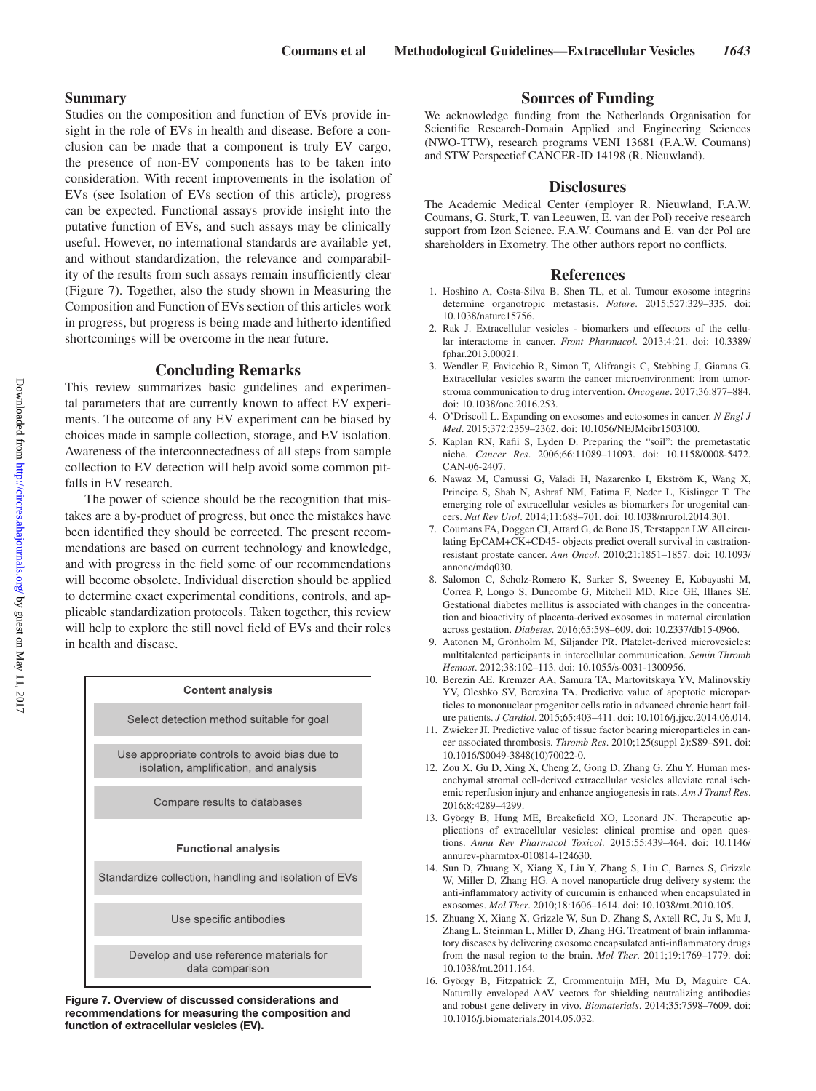## **Summary**

Studies on the composition and function of EVs provide insight in the role of EVs in health and disease. Before a conclusion can be made that a component is truly EV cargo, the presence of non-EV components has to be taken into consideration. With recent improvements in the isolation of EVs (see Isolation of EVs section of this article), progress can be expected. Functional assays provide insight into the putative function of EVs, and such assays may be clinically useful. However, no international standards are available yet, and without standardization, the relevance and comparability of the results from such assays remain insufficiently clear (Figure 7). Together, also the study shown in Measuring the Composition and Function of EVs section of this articles work in progress, but progress is being made and hitherto identified shortcomings will be overcome in the near future.

# **Concluding Remarks**

This review summarizes basic guidelines and experimental parameters that are currently known to affect EV experiments. The outcome of any EV experiment can be biased by choices made in sample collection, storage, and EV isolation. Awareness of the interconnectedness of all steps from sample collection to EV detection will help avoid some common pitfalls in EV research.

The power of science should be the recognition that mistakes are a by-product of progress, but once the mistakes have been identified they should be corrected. The present recommendations are based on current technology and knowledge, and with progress in the field some of our recommendations will become obsolete. Individual discretion should be applied to determine exact experimental conditions, controls, and applicable standardization protocols. Taken together, this review will help to explore the still novel field of EVs and their roles in health and disease.



Figure 7. Overview of discussed considerations and recommendations for measuring the composition and function of extracellular vesicles (EV).

# **Sources of Funding**

We acknowledge funding from the Netherlands Organisation for Scientific Research-Domain Applied and Engineering Sciences (NWO-TTW), research programs VENI 13681 (F.A.W. Coumans) and STW Perspectief CANCER-ID 14198 (R. Nieuwland).

## **Disclosures**

The Academic Medical Center (employer R. Nieuwland, F.A.W. Coumans, G. Sturk, T. van Leeuwen, E. van der Pol) receive research support from Izon Science. F.A.W. Coumans and E. van der Pol are shareholders in Exometry. The other authors report no conflicts.

### **References**

- 1. Hoshino A, Costa-Silva B, Shen TL, et al. Tumour exosome integrins determine organotropic metastasis. *Nature*. 2015;527:329–335. doi: 10.1038/nature15756.
- 2. Rak J. Extracellular vesicles biomarkers and effectors of the cellular interactome in cancer. *Front Pharmacol*. 2013;4:21. doi: 10.3389/ fphar.2013.00021.
- 3. Wendler F, Favicchio R, Simon T, Alifrangis C, Stebbing J, Giamas G. Extracellular vesicles swarm the cancer microenvironment: from tumorstroma communication to drug intervention. *Oncogene*. 2017;36:877–884. doi: 10.1038/onc.2016.253.
- 4. O'Driscoll L. Expanding on exosomes and ectosomes in cancer. *N Engl J Med*. 2015;372:2359–2362. doi: 10.1056/NEJMcibr1503100.
- 5. Kaplan RN, Rafii S, Lyden D. Preparing the "soil": the premetastatic niche. *Cancer Res*. 2006;66:11089–11093. doi: 10.1158/0008-5472. CAN-06-2407.
- 6. Nawaz M, Camussi G, Valadi H, Nazarenko I, Ekström K, Wang X, Principe S, Shah N, Ashraf NM, Fatima F, Neder L, Kislinger T. The emerging role of extracellular vesicles as biomarkers for urogenital cancers. *Nat Rev Urol*. 2014;11:688–701. doi: 10.1038/nrurol.2014.301.
- 7. Coumans FA, Doggen CJ, Attard G, de Bono JS, Terstappen LW. All circulating EpCAM+CK+CD45- objects predict overall survival in castrationresistant prostate cancer. *Ann Oncol*. 2010;21:1851–1857. doi: 10.1093/ annonc/mdq030.
- 8. Salomon C, Scholz-Romero K, Sarker S, Sweeney E, Kobayashi M, Correa P, Longo S, Duncombe G, Mitchell MD, Rice GE, Illanes SE. Gestational diabetes mellitus is associated with changes in the concentration and bioactivity of placenta-derived exosomes in maternal circulation across gestation. *Diabetes*. 2016;65:598–609. doi: 10.2337/db15-0966.
- 9. Aatonen M, Grönholm M, Siljander PR. Platelet-derived microvesicles: multitalented participants in intercellular communication. *Semin Thromb Hemost*. 2012;38:102–113. doi: 10.1055/s-0031-1300956.
- 10. Berezin AE, Kremzer AA, Samura TA, Martovitskaya YV, Malinovskiy YV, Oleshko SV, Berezina TA. Predictive value of apoptotic microparticles to mononuclear progenitor cells ratio in advanced chronic heart failure patients. *J Cardiol*. 2015;65:403–411. doi: 10.1016/j.jjcc.2014.06.014.
- 11. Zwicker JI. Predictive value of tissue factor bearing microparticles in cancer associated thrombosis. *Thromb Res*. 2010;125(suppl 2):S89–S91. doi: 10.1016/S0049-3848(10)70022-0.
- 12. Zou X, Gu D, Xing X, Cheng Z, Gong D, Zhang G, Zhu Y. Human mesenchymal stromal cell-derived extracellular vesicles alleviate renal ischemic reperfusion injury and enhance angiogenesis in rats. *Am J Transl Res*. 2016;8:4289–4299.
- 13. György B, Hung ME, Breakefield XO, Leonard JN. Therapeutic applications of extracellular vesicles: clinical promise and open questions. *Annu Rev Pharmacol Toxicol*. 2015;55:439–464. doi: 10.1146/ annurev-pharmtox-010814-124630.
- 14. Sun D, Zhuang X, Xiang X, Liu Y, Zhang S, Liu C, Barnes S, Grizzle W, Miller D, Zhang HG. A novel nanoparticle drug delivery system: the anti-inflammatory activity of curcumin is enhanced when encapsulated in exosomes. *Mol Ther*. 2010;18:1606–1614. doi: 10.1038/mt.2010.105.
- 15. Zhuang X, Xiang X, Grizzle W, Sun D, Zhang S, Axtell RC, Ju S, Mu J, Zhang L, Steinman L, Miller D, Zhang HG. Treatment of brain inflammatory diseases by delivering exosome encapsulated anti-inflammatory drugs from the nasal region to the brain. *Mol Ther*. 2011;19:1769–1779. doi: 10.1038/mt.2011.164.
- 16. György B, Fitzpatrick Z, Crommentuijn MH, Mu D, Maguire CA. Naturally enveloped AAV vectors for shielding neutralizing antibodies and robust gene delivery in vivo. *Biomaterials*. 2014;35:7598–7609. doi: 10.1016/j.biomaterials.2014.05.032.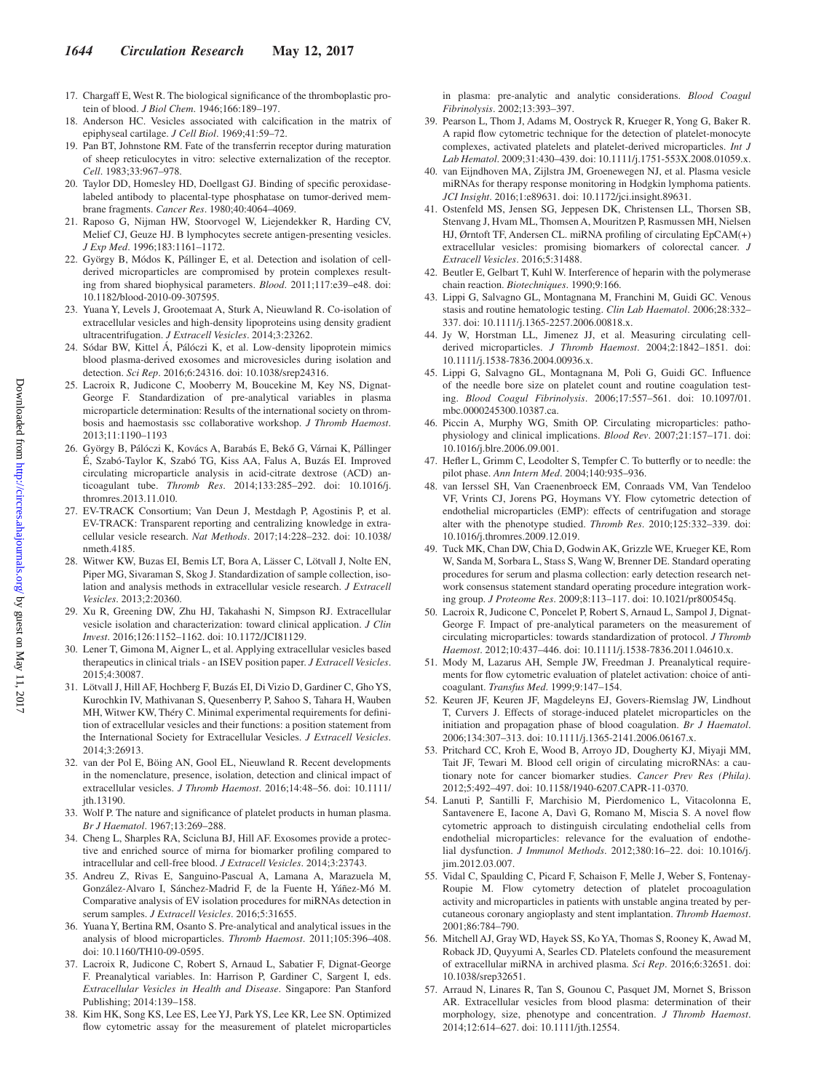- 17. Chargaff E, West R. The biological significance of the thromboplastic protein of blood. *J Biol Chem*. 1946;166:189–197.
- 18. Anderson HC. Vesicles associated with calcification in the matrix of epiphyseal cartilage. *J Cell Biol*. 1969;41:59–72.
- 19. Pan BT, Johnstone RM. Fate of the transferrin receptor during maturation of sheep reticulocytes in vitro: selective externalization of the receptor. *Cell*. 1983;33:967–978.
- 20. Taylor DD, Homesley HD, Doellgast GJ. Binding of specific peroxidaselabeled antibody to placental-type phosphatase on tumor-derived membrane fragments. *Cancer Res*. 1980;40:4064–4069.
- 21. Raposo G, Nijman HW, Stoorvogel W, Liejendekker R, Harding CV, Melief CJ, Geuze HJ. B lymphocytes secrete antigen-presenting vesicles. *J Exp Med*. 1996;183:1161–1172.
- 22. György B, Módos K, Pállinger E, et al. Detection and isolation of cellderived microparticles are compromised by protein complexes resulting from shared biophysical parameters. *Blood*. 2011;117:e39–e48. doi: 10.1182/blood-2010-09-307595.
- 23. Yuana Y, Levels J, Grootemaat A, Sturk A, Nieuwland R. Co-isolation of extracellular vesicles and high-density lipoproteins using density gradient ultracentrifugation. *J Extracell Vesicles*. 2014;3:23262.
- 24. Sódar BW, Kittel Á, Pálóczi K, et al. Low-density lipoprotein mimics blood plasma-derived exosomes and microvesicles during isolation and detection. *Sci Rep*. 2016;6:24316. doi: 10.1038/srep24316.
- 25. Lacroix R, Judicone C, Mooberry M, Boucekine M, Key NS, Dignat-George F. Standardization of pre-analytical variables in plasma microparticle determination: Results of the international society on thrombosis and haemostasis ssc collaborative workshop. *J Thromb Haemost*. 2013;11:1190–1193
- 26. György B, Pálóczi K, Kovács A, Barabás E, Bekő G, Várnai K, Pállinger É, Szabó-Taylor K, Szabó TG, Kiss AA, Falus A, Buzás EI. Improved circulating microparticle analysis in acid-citrate dextrose (ACD) anticoagulant tube. *Thromb Res*. 2014;133:285–292. doi: 10.1016/j. thromres.2013.11.010.
- 27. EV-TRACK Consortium; Van Deun J, Mestdagh P, Agostinis P, et al. EV-TRACK: Transparent reporting and centralizing knowledge in extracellular vesicle research. *Nat Methods*. 2017;14:228–232. doi: 10.1038/ nmeth.4185.
- 28. Witwer KW, Buzas EI, Bemis LT, Bora A, Lässer C, Lötvall J, Nolte EN, Piper MG, Sivaraman S, Skog J. Standardization of sample collection, isolation and analysis methods in extracellular vesicle research. *J Extracell Vesicles*. 2013;2:20360.
- 29. Xu R, Greening DW, Zhu HJ, Takahashi N, Simpson RJ. Extracellular vesicle isolation and characterization: toward clinical application. *J Clin Invest*. 2016;126:1152–1162. doi: 10.1172/JCI81129.
- 30. Lener T, Gimona M, Aigner L, et al. Applying extracellular vesicles based therapeutics in clinical trials - an ISEV position paper. *J Extracell Vesicles*. 2015;4:30087.
- 31. Lötvall J, Hill AF, Hochberg F, Buzás EI, Di Vizio D, Gardiner C, Gho YS, Kurochkin IV, Mathivanan S, Quesenberry P, Sahoo S, Tahara H, Wauben MH, Witwer KW, Théry C. Minimal experimental requirements for definition of extracellular vesicles and their functions: a position statement from the International Society for Extracellular Vesicles. *J Extracell Vesicles*. 2014;3:26913.
- 32. van der Pol E, Böing AN, Gool EL, Nieuwland R. Recent developments in the nomenclature, presence, isolation, detection and clinical impact of extracellular vesicles. *J Thromb Haemost*. 2016;14:48–56. doi: 10.1111/ jth.13190.
- 33. Wolf P. The nature and significance of platelet products in human plasma. *Br J Haematol*. 1967;13:269–288.
- 34. Cheng L, Sharples RA, Scicluna BJ, Hill AF. Exosomes provide a protective and enriched source of mirna for biomarker profiling compared to intracellular and cell-free blood. *J Extracell Vesicles*. 2014;3:23743.
- 35. Andreu Z, Rivas E, Sanguino-Pascual A, Lamana A, Marazuela M, González-Alvaro I, Sánchez-Madrid F, de la Fuente H, Yáñez-Mó M. Comparative analysis of EV isolation procedures for miRNAs detection in serum samples. *J Extracell Vesicles*. 2016;5:31655.
- 36. Yuana Y, Bertina RM, Osanto S. Pre-analytical and analytical issues in the analysis of blood microparticles. *Thromb Haemost*. 2011;105:396–408. doi: 10.1160/TH10-09-0595.
- 37. Lacroix R, Judicone C, Robert S, Arnaud L, Sabatier F, Dignat-George F. Preanalytical variables. In: Harrison P, Gardiner C, Sargent I, eds. *Extracellular Vesicles in Health and Disease*. Singapore: Pan Stanford Publishing; 2014:139–158.
- 38. Kim HK, Song KS, Lee ES, Lee YJ, Park YS, Lee KR, Lee SN. Optimized flow cytometric assay for the measurement of platelet microparticles

in plasma: pre-analytic and analytic considerations. *Blood Coagul Fibrinolysis*. 2002;13:393–397.

- 39. Pearson L, Thom J, Adams M, Oostryck R, Krueger R, Yong G, Baker R. A rapid flow cytometric technique for the detection of platelet-monocyte complexes, activated platelets and platelet-derived microparticles. *Int J Lab Hematol*. 2009;31:430–439. doi: 10.1111/j.1751-553X.2008.01059.x.
- 40. van Eijndhoven MA, Zijlstra JM, Groenewegen NJ, et al. Plasma vesicle miRNAs for therapy response monitoring in Hodgkin lymphoma patients. *JCI Insight*. 2016;1:e89631. doi: 10.1172/jci.insight.89631.
- 41. Ostenfeld MS, Jensen SG, Jeppesen DK, Christensen LL, Thorsen SB, Stenvang J, Hvam ML, Thomsen A, Mouritzen P, Rasmussen MH, Nielsen HJ, Ørntoft TF, Andersen CL. miRNA profiling of circulating EpCAM(+) extracellular vesicles: promising biomarkers of colorectal cancer. *J Extracell Vesicles*. 2016;5:31488.
- 42. Beutler E, Gelbart T, Kuhl W. Interference of heparin with the polymerase chain reaction. *Biotechniques*. 1990;9:166.
- 43. Lippi G, Salvagno GL, Montagnana M, Franchini M, Guidi GC. Venous stasis and routine hematologic testing. *Clin Lab Haematol*. 2006;28:332– 337. doi: 10.1111/j.1365-2257.2006.00818.x.
- 44. Jy W, Horstman LL, Jimenez JJ, et al. Measuring circulating cellderived microparticles. *J Thromb Haemost*. 2004;2:1842–1851. doi: 10.1111/j.1538-7836.2004.00936.x.
- 45. Lippi G, Salvagno GL, Montagnana M, Poli G, Guidi GC. Influence of the needle bore size on platelet count and routine coagulation testing. *Blood Coagul Fibrinolysis*. 2006;17:557–561. doi: 10.1097/01. mbc.0000245300.10387.ca.
- 46. Piccin A, Murphy WG, Smith OP. Circulating microparticles: pathophysiology and clinical implications. *Blood Rev*. 2007;21:157–171. doi: 10.1016/j.blre.2006.09.001.
- 47. Hefler L, Grimm C, Leodolter S, Tempfer C. To butterfly or to needle: the pilot phase. *Ann Intern Med*. 2004;140:935–936.
- 48. van Ierssel SH, Van Craenenbroeck EM, Conraads VM, Van Tendeloo VF, Vrints CJ, Jorens PG, Hoymans VY. Flow cytometric detection of endothelial microparticles (EMP): effects of centrifugation and storage alter with the phenotype studied. *Thromb Res*. 2010;125:332–339. doi: 10.1016/j.thromres.2009.12.019.
- 49. Tuck MK, Chan DW, Chia D, Godwin AK, Grizzle WE, Krueger KE, Rom W, Sanda M, Sorbara L, Stass S, Wang W, Brenner DE. Standard operating procedures for serum and plasma collection: early detection research network consensus statement standard operating procedure integration working group. *J Proteome Res*. 2009;8:113–117. doi: 10.1021/pr800545q.
- 50. Lacroix R, Judicone C, Poncelet P, Robert S, Arnaud L, Sampol J, Dignat-George F. Impact of pre-analytical parameters on the measurement of circulating microparticles: towards standardization of protocol. *J Thromb Haemost*. 2012;10:437–446. doi: 10.1111/j.1538-7836.2011.04610.x.
- 51. Mody M, Lazarus AH, Semple JW, Freedman J. Preanalytical requirements for flow cytometric evaluation of platelet activation: choice of anticoagulant. *Transfus Med*. 1999;9:147–154.
- 52. Keuren JF, Keuren JF, Magdeleyns EJ, Govers-Riemslag JW, Lindhout T, Curvers J. Effects of storage-induced platelet microparticles on the initiation and propagation phase of blood coagulation. *Br J Haematol*. 2006;134:307–313. doi: 10.1111/j.1365-2141.2006.06167.x.
- 53. Pritchard CC, Kroh E, Wood B, Arroyo JD, Dougherty KJ, Miyaji MM, Tait JF, Tewari M. Blood cell origin of circulating microRNAs: a cautionary note for cancer biomarker studies. *Cancer Prev Res (Phila)*. 2012;5:492–497. doi: 10.1158/1940-6207.CAPR-11-0370.
- 54. Lanuti P, Santilli F, Marchisio M, Pierdomenico L, Vitacolonna E, Santavenere E, Iacone A, Davì G, Romano M, Miscia S. A novel flow cytometric approach to distinguish circulating endothelial cells from endothelial microparticles: relevance for the evaluation of endothelial dysfunction. *J Immunol Methods*. 2012;380:16–22. doi: 10.1016/j. jim.2012.03.007.
- 55. Vidal C, Spaulding C, Picard F, Schaison F, Melle J, Weber S, Fontenay-Roupie M. Flow cytometry detection of platelet procoagulation activity and microparticles in patients with unstable angina treated by percutaneous coronary angioplasty and stent implantation. *Thromb Haemost*. 2001;86:784–790.
- 56. Mitchell AJ, Gray WD, Hayek SS, Ko YA, Thomas S, Rooney K, Awad M, Roback JD, Quyyumi A, Searles CD. Platelets confound the measurement of extracellular miRNA in archived plasma. *Sci Rep*. 2016;6:32651. doi: 10.1038/srep32651.
- 57. Arraud N, Linares R, Tan S, Gounou C, Pasquet JM, Mornet S, Brisson AR. Extracellular vesicles from blood plasma: determination of their morphology, size, phenotype and concentration. *J Thromb Haemost*. 2014;12:614–627. doi: 10.1111/jth.12554.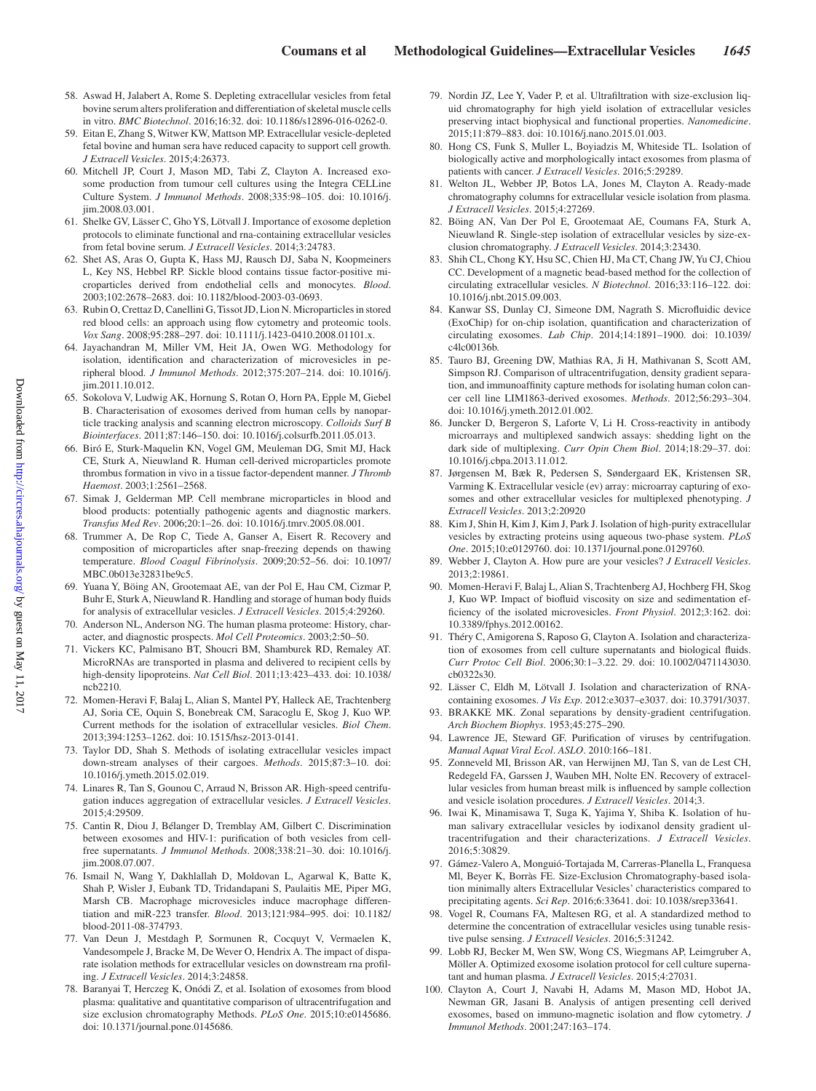- 58. Aswad H, Jalabert A, Rome S. Depleting extracellular vesicles from fetal bovine serum alters proliferation and differentiation of skeletal muscle cells in vitro. *BMC Biotechnol*. 2016;16:32. doi: 10.1186/s12896-016-0262-0.
- 59. Eitan E, Zhang S, Witwer KW, Mattson MP. Extracellular vesicle-depleted fetal bovine and human sera have reduced capacity to support cell growth. *J Extracell Vesicles*. 2015;4:26373.
- 60. Mitchell JP, Court J, Mason MD, Tabi Z, Clayton A. Increased exosome production from tumour cell cultures using the Integra CELLine Culture System. *J Immunol Methods*. 2008;335:98–105. doi: 10.1016/j. jim.2008.03.001.
- 61. Shelke GV, Lässer C, Gho YS, Lötvall J. Importance of exosome depletion protocols to eliminate functional and rna-containing extracellular vesicles from fetal bovine serum. *J Extracell Vesicles*. 2014;3:24783.
- 62. Shet AS, Aras O, Gupta K, Hass MJ, Rausch DJ, Saba N, Koopmeiners L, Key NS, Hebbel RP. Sickle blood contains tissue factor-positive microparticles derived from endothelial cells and monocytes. *Blood*. 2003;102:2678–2683. doi: 10.1182/blood-2003-03-0693.
- 63. Rubin O, Crettaz D, Canellini G, Tissot JD, Lion N. Microparticles in stored red blood cells: an approach using flow cytometry and proteomic tools. *Vox Sang*. 2008;95:288–297. doi: 10.1111/j.1423-0410.2008.01101.x.
- 64. Jayachandran M, Miller VM, Heit JA, Owen WG. Methodology for isolation, identification and characterization of microvesicles in peripheral blood. *J Immunol Methods*. 2012;375:207–214. doi: 10.1016/j. jim.2011.10.012.
- 65. Sokolova V, Ludwig AK, Hornung S, Rotan O, Horn PA, Epple M, Giebel B. Characterisation of exosomes derived from human cells by nanoparticle tracking analysis and scanning electron microscopy. *Colloids Surf B Biointerfaces*. 2011;87:146–150. doi: 10.1016/j.colsurfb.2011.05.013.
- 66. Biró E, Sturk-Maquelin KN, Vogel GM, Meuleman DG, Smit MJ, Hack CE, Sturk A, Nieuwland R. Human cell-derived microparticles promote thrombus formation in vivo in a tissue factor-dependent manner. *J Thromb Haemost*. 2003;1:2561–2568.
- 67. Simak J, Gelderman MP. Cell membrane microparticles in blood and blood products: potentially pathogenic agents and diagnostic markers. *Transfus Med Rev*. 2006;20:1–26. doi: 10.1016/j.tmrv.2005.08.001.
- 68. Trummer A, De Rop C, Tiede A, Ganser A, Eisert R. Recovery and composition of microparticles after snap-freezing depends on thawing temperature. *Blood Coagul Fibrinolysis*. 2009;20:52–56. doi: 10.1097/ MBC.0b013e32831be9c5.
- 69. Yuana Y, Böing AN, Grootemaat AE, van der Pol E, Hau CM, Cizmar P, Buhr E, Sturk A, Nieuwland R. Handling and storage of human body fluids for analysis of extracellular vesicles. *J Extracell Vesicles*. 2015;4:29260.
- 70. Anderson NL, Anderson NG. The human plasma proteome: History, character, and diagnostic prospects. *Mol Cell Proteomics*. 2003;2:50–50.
- 71. Vickers KC, Palmisano BT, Shoucri BM, Shamburek RD, Remaley AT. MicroRNAs are transported in plasma and delivered to recipient cells by high-density lipoproteins. *Nat Cell Biol*. 2011;13:423–433. doi: 10.1038/ ncb2210.
- 72. Momen-Heravi F, Balaj L, Alian S, Mantel PY, Halleck AE, Trachtenberg AJ, Soria CE, Oquin S, Bonebreak CM, Saracoglu E, Skog J, Kuo WP. Current methods for the isolation of extracellular vesicles. *Biol Chem*. 2013;394:1253–1262. doi: 10.1515/hsz-2013-0141.
- 73. Taylor DD, Shah S. Methods of isolating extracellular vesicles impact down-stream analyses of their cargoes. *Methods*. 2015;87:3–10. doi: 10.1016/j.ymeth.2015.02.019.
- 74. Linares R, Tan S, Gounou C, Arraud N, Brisson AR. High-speed centrifugation induces aggregation of extracellular vesicles. *J Extracell Vesicles*. 2015;4:29509.
- 75. Cantin R, Diou J, Bélanger D, Tremblay AM, Gilbert C. Discrimination between exosomes and HIV-1: purification of both vesicles from cellfree supernatants. *J Immunol Methods*. 2008;338:21–30. doi: 10.1016/j. jim.2008.07.007.
- 76. Ismail N, Wang Y, Dakhlallah D, Moldovan L, Agarwal K, Batte K, Shah P, Wisler J, Eubank TD, Tridandapani S, Paulaitis ME, Piper MG, Marsh CB. Macrophage microvesicles induce macrophage differentiation and miR-223 transfer. *Blood*. 2013;121:984–995. doi: 10.1182/ blood-2011-08-374793.
- 77. Van Deun J, Mestdagh P, Sormunen R, Cocquyt V, Vermaelen K, Vandesompele J, Bracke M, De Wever O, Hendrix A. The impact of disparate isolation methods for extracellular vesicles on downstream rna profiling. *J Extracell Vesicles*. 2014;3:24858.
- 78. Baranyai T, Herczeg K, Onódi Z, et al. Isolation of exosomes from blood plasma: qualitative and quantitative comparison of ultracentrifugation and size exclusion chromatography Methods. *PLoS One*. 2015;10:e0145686. doi: 10.1371/journal.pone.0145686.
- 79. Nordin JZ, Lee Y, Vader P, et al. Ultrafiltration with size-exclusion liquid chromatography for high yield isolation of extracellular vesicles preserving intact biophysical and functional properties. *Nanomedicine*. 2015;11:879–883. doi: 10.1016/j.nano.2015.01.003.
- 80. Hong CS, Funk S, Muller L, Boyiadzis M, Whiteside TL. Isolation of biologically active and morphologically intact exosomes from plasma of patients with cancer. *J Extracell Vesicles*. 2016;5:29289.
- 81. Welton JL, Webber JP, Botos LA, Jones M, Clayton A. Ready-made chromatography columns for extracellular vesicle isolation from plasma. *J Extracell Vesicles*. 2015;4:27269.
- 82. Böing AN, Van Der Pol E, Grootemaat AE, Coumans FA, Sturk A, Nieuwland R. Single-step isolation of extracellular vesicles by size-exclusion chromatography. *J Extracell Vesicles*. 2014;3:23430.
- 83. Shih CL, Chong KY, Hsu SC, Chien HJ, Ma CT, Chang JW, Yu CJ, Chiou CC. Development of a magnetic bead-based method for the collection of circulating extracellular vesicles. *N Biotechnol*. 2016;33:116–122. doi: 10.1016/j.nbt.2015.09.003.
- 84. Kanwar SS, Dunlay CJ, Simeone DM, Nagrath S. Microfluidic device (ExoChip) for on-chip isolation, quantification and characterization of circulating exosomes. *Lab Chip*. 2014;14:1891–1900. doi: 10.1039/ c4lc00136b.
- 85. Tauro BJ, Greening DW, Mathias RA, Ji H, Mathivanan S, Scott AM, Simpson RJ. Comparison of ultracentrifugation, density gradient separation, and immunoaffinity capture methods for isolating human colon cancer cell line LIM1863-derived exosomes. *Methods*. 2012;56:293–304. doi: 10.1016/j.ymeth.2012.01.002.
- 86. Juncker D, Bergeron S, Laforte V, Li H. Cross-reactivity in antibody microarrays and multiplexed sandwich assays: shedding light on the dark side of multiplexing. *Curr Opin Chem Biol*. 2014;18:29–37. doi: 10.1016/j.cbpa.2013.11.012.
- 87. Jørgensen M, Bæk R, Pedersen S, Søndergaard EK, Kristensen SR, Varming K. Extracellular vesicle (ev) array: microarray capturing of exosomes and other extracellular vesicles for multiplexed phenotyping. *J Extracell Vesicles*. 2013;2:20920
- 88. Kim J, Shin H, Kim J, Kim J, Park J. Isolation of high-purity extracellular vesicles by extracting proteins using aqueous two-phase system. *PLoS One*. 2015;10:e0129760. doi: 10.1371/journal.pone.0129760.
- 89. Webber J, Clayton A. How pure are your vesicles? *J Extracell Vesicles*. 2013;2:19861.
- 90. Momen-Heravi F, Balaj L, Alian S, Trachtenberg AJ, Hochberg FH, Skog J, Kuo WP. Impact of biofluid viscosity on size and sedimentation efficiency of the isolated microvesicles. *Front Physiol*. 2012;3:162. doi: 10.3389/fphys.2012.00162.
- 91. Théry C, Amigorena S, Raposo G, Clayton A. Isolation and characterization of exosomes from cell culture supernatants and biological fluids. *Curr Protoc Cell Biol*. 2006;30:1–3.22. 29. doi: 10.1002/0471143030. cb0322s30.
- 92. Lässer C, Eldh M, Lötvall J. Isolation and characterization of RNAcontaining exosomes. *J Vis Exp*. 2012:e3037–e3037. doi: 10.3791/3037.
- 93. BRAKKE MK. Zonal separations by density-gradient centrifugation. *Arch Biochem Biophys*. 1953;45:275–290.
- 94. Lawrence JE, Steward GF. Purification of viruses by centrifugation. *Manual Aquat Viral Ecol*. *ASLO*. 2010:166–181.
- 95. Zonneveld MI, Brisson AR, van Herwijnen MJ, Tan S, van de Lest CH, Redegeld FA, Garssen J, Wauben MH, Nolte EN. Recovery of extracellular vesicles from human breast milk is influenced by sample collection and vesicle isolation procedures. *J Extracell Vesicles*. 2014;3.
- 96. Iwai K, Minamisawa T, Suga K, Yajima Y, Shiba K. Isolation of human salivary extracellular vesicles by iodixanol density gradient ultracentrifugation and their characterizations. *J Extracell Vesicles*. 2016;5:30829.
- 97. Gámez-Valero A, Monguió-Tortajada M, Carreras-Planella L, Franquesa Ml, Beyer K, Borràs FE. Size-Exclusion Chromatography-based isolation minimally alters Extracellular Vesicles' characteristics compared to precipitating agents. *Sci Rep*. 2016;6:33641. doi: 10.1038/srep33641.
- 98. Vogel R, Coumans FA, Maltesen RG, et al. A standardized method to determine the concentration of extracellular vesicles using tunable resistive pulse sensing. *J Extracell Vesicles*. 2016;5:31242.
- Lobb RJ, Becker M, Wen SW, Wong CS, Wiegmans AP, Leimgruber A, Möller A. Optimized exosome isolation protocol for cell culture supernatant and human plasma. *J Extracell Vesicles*. 2015;4:27031.
- 100. Clayton A, Court J, Navabi H, Adams M, Mason MD, Hobot JA, Newman GR, Jasani B. Analysis of antigen presenting cell derived exosomes, based on immuno-magnetic isolation and flow cytometry. *J Immunol Methods*. 2001;247:163–174.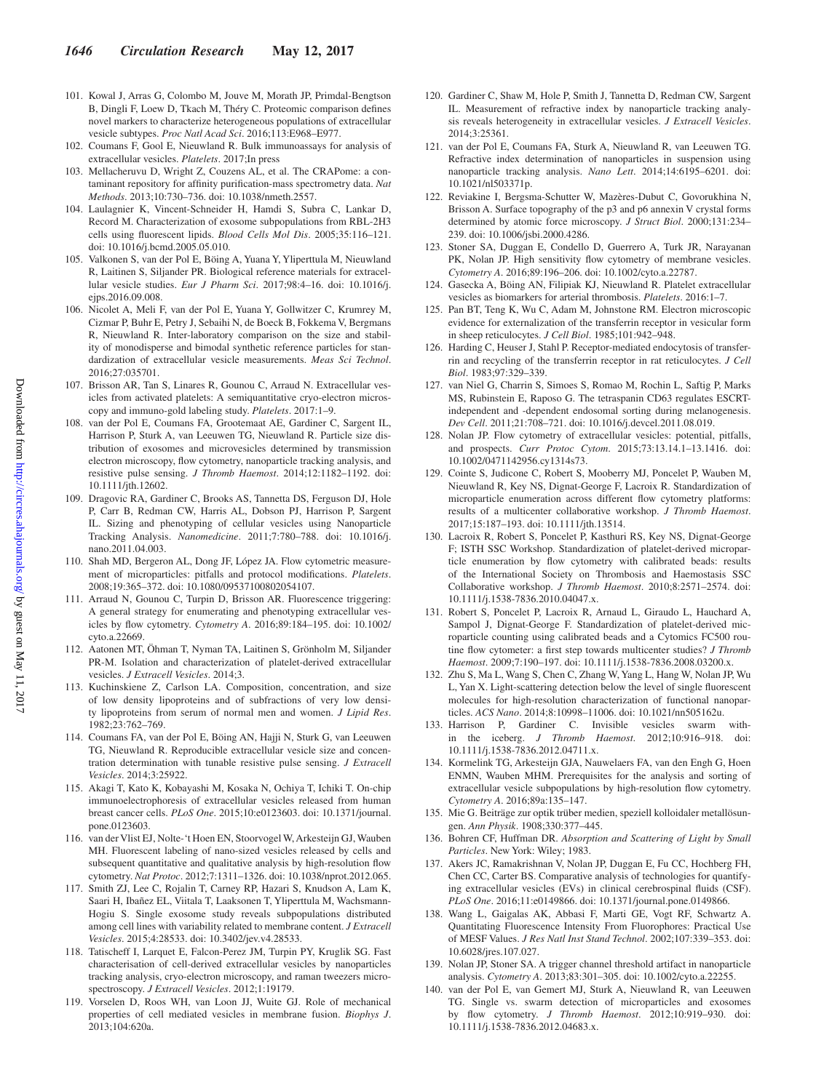- 101. Kowal J, Arras G, Colombo M, Jouve M, Morath JP, Primdal-Bengtson B, Dingli F, Loew D, Tkach M, Théry C. Proteomic comparison defines novel markers to characterize heterogeneous populations of extracellular vesicle subtypes. *Proc Natl Acad Sci*. 2016;113:E968–E977.
- 102. Coumans F, Gool E, Nieuwland R. Bulk immunoassays for analysis of extracellular vesicles. *Platelets*. 2017;In press
- 103. Mellacheruvu D, Wright Z, Couzens AL, et al. The CRAPome: a contaminant repository for affinity purification-mass spectrometry data. *Nat Methods*. 2013;10:730–736. doi: 10.1038/nmeth.2557.
- 104. Laulagnier K, Vincent-Schneider H, Hamdi S, Subra C, Lankar D, Record M. Characterization of exosome subpopulations from RBL-2H3 cells using fluorescent lipids. *Blood Cells Mol Dis*. 2005;35:116–121. doi: 10.1016/j.bcmd.2005.05.010.
- 105. Valkonen S, van der Pol E, Böing A, Yuana Y, Yliperttula M, Nieuwland R, Laitinen S, Siljander PR. Biological reference materials for extracellular vesicle studies. *Eur J Pharm Sci*. 2017;98:4–16. doi: 10.1016/j. ejps.2016.09.008.
- 106. Nicolet A, Meli F, van der Pol E, Yuana Y, Gollwitzer C, Krumrey M, Cizmar P, Buhr E, Petry J, Sebaihi N, de Boeck B, Fokkema V, Bergmans R, Nieuwland R. Inter-laboratory comparison on the size and stability of monodisperse and bimodal synthetic reference particles for standardization of extracellular vesicle measurements. *Meas Sci Technol*. 2016;27:035701.
- 107. Brisson AR, Tan S, Linares R, Gounou C, Arraud N. Extracellular vesicles from activated platelets: A semiquantitative cryo-electron microscopy and immuno-gold labeling study. *Platelets*. 2017:1–9.
- 108. van der Pol E, Coumans FA, Grootemaat AE, Gardiner C, Sargent IL, Harrison P, Sturk A, van Leeuwen TG, Nieuwland R. Particle size distribution of exosomes and microvesicles determined by transmission electron microscopy, flow cytometry, nanoparticle tracking analysis, and resistive pulse sensing. *J Thromb Haemost*. 2014;12:1182–1192. doi: 10.1111/jth.12602.
- 109. Dragovic RA, Gardiner C, Brooks AS, Tannetta DS, Ferguson DJ, Hole P, Carr B, Redman CW, Harris AL, Dobson PJ, Harrison P, Sargent IL. Sizing and phenotyping of cellular vesicles using Nanoparticle Tracking Analysis. *Nanomedicine*. 2011;7:780–788. doi: 10.1016/j. nano.2011.04.003.
- 110. Shah MD, Bergeron AL, Dong JF, López JA. Flow cytometric measurement of microparticles: pitfalls and protocol modifications. *Platelets*. 2008;19:365–372. doi: 10.1080/09537100802054107.
- 111. Arraud N, Gounou C, Turpin D, Brisson AR. Fluorescence triggering: A general strategy for enumerating and phenotyping extracellular vesicles by flow cytometry. *Cytometry A*. 2016;89:184–195. doi: 10.1002/ cyto.a.22669.
- 112. Aatonen MT, Öhman T, Nyman TA, Laitinen S, Grönholm M, Siljander PR-M. Isolation and characterization of platelet-derived extracellular vesicles. *J Extracell Vesicles*. 2014;3.
- 113. Kuchinskiene Z, Carlson LA. Composition, concentration, and size of low density lipoproteins and of subfractions of very low density lipoproteins from serum of normal men and women. *J Lipid Res*. 1982;23:762–769.
- 114. Coumans FA, van der Pol E, Böing AN, Hajji N, Sturk G, van Leeuwen TG, Nieuwland R. Reproducible extracellular vesicle size and concentration determination with tunable resistive pulse sensing. *J Extracell Vesicles*. 2014;3:25922.
- 115. Akagi T, Kato K, Kobayashi M, Kosaka N, Ochiya T, Ichiki T. On-chip immunoelectrophoresis of extracellular vesicles released from human breast cancer cells. *PLoS One*. 2015;10:e0123603. doi: 10.1371/journal. pone.0123603.
- 116. van der Vlist EJ, Nolte-'t Hoen EN, Stoorvogel W, Arkesteijn GJ, Wauben MH. Fluorescent labeling of nano-sized vesicles released by cells and subsequent quantitative and qualitative analysis by high-resolution flow cytometry. *Nat Protoc*. 2012;7:1311–1326. doi: 10.1038/nprot.2012.065.
- 117. Smith ZJ, Lee C, Rojalin T, Carney RP, Hazari S, Knudson A, Lam K, Saari H, Ibañez EL, Viitala T, Laaksonen T, Yliperttula M, Wachsmann-Hogiu S. Single exosome study reveals subpopulations distributed among cell lines with variability related to membrane content. *J Extracell Vesicles*. 2015;4:28533. doi: 10.3402/jev.v4.28533.
- 118. Tatischeff I, Larquet E, Falcon-Perez JM, Turpin PY, Kruglik SG. Fast characterisation of cell-derived extracellular vesicles by nanoparticles tracking analysis, cryo-electron microscopy, and raman tweezers microspectroscopy. *J Extracell Vesicles*. 2012;1:19179.
- 119. Vorselen D, Roos WH, van Loon JJ, Wuite GJ. Role of mechanical properties of cell mediated vesicles in membrane fusion. *Biophys J*. 2013;104:620a.
- 120. Gardiner C, Shaw M, Hole P, Smith J, Tannetta D, Redman CW, Sargent IL. Measurement of refractive index by nanoparticle tracking analysis reveals heterogeneity in extracellular vesicles. *J Extracell Vesicles*. 2014;3:25361.
- 121. van der Pol E, Coumans FA, Sturk A, Nieuwland R, van Leeuwen TG. Refractive index determination of nanoparticles in suspension using nanoparticle tracking analysis. *Nano Lett*. 2014;14:6195–6201. doi: 10.1021/nl503371p.
- 122. Reviakine I, Bergsma-Schutter W, Mazères-Dubut C, Govorukhina N, Brisson A. Surface topography of the p3 and p6 annexin V crystal forms determined by atomic force microscopy. *J Struct Biol*. 2000;131:234– 239. doi: 10.1006/jsbi.2000.4286.
- 123. Stoner SA, Duggan E, Condello D, Guerrero A, Turk JR, Narayanan PK, Nolan JP. High sensitivity flow cytometry of membrane vesicles. *Cytometry A*. 2016;89:196–206. doi: 10.1002/cyto.a.22787.
- 124. Gasecka A, Böing AN, Filipiak KJ, Nieuwland R. Platelet extracellular vesicles as biomarkers for arterial thrombosis. *Platelets*. 2016:1–7.
- 125. Pan BT, Teng K, Wu C, Adam M, Johnstone RM. Electron microscopic evidence for externalization of the transferrin receptor in vesicular form in sheep reticulocytes. *J Cell Biol*. 1985;101:942–948.
- 126. Harding C, Heuser J, Stahl P. Receptor-mediated endocytosis of transferrin and recycling of the transferrin receptor in rat reticulocytes. *J Cell Biol*. 1983;97:329–339.
- 127. van Niel G, Charrin S, Simoes S, Romao M, Rochin L, Saftig P, Marks MS, Rubinstein E, Raposo G. The tetraspanin CD63 regulates ESCRTindependent and -dependent endosomal sorting during melanogenesis. *Dev Cell*. 2011;21:708–721. doi: 10.1016/j.devcel.2011.08.019.
- 128. Nolan JP. Flow cytometry of extracellular vesicles: potential, pitfalls, and prospects. *Curr Protoc Cytom*. 2015;73:13.14.1–13.1416. doi: 10.1002/0471142956.cy1314s73.
- 129. Cointe S, Judicone C, Robert S, Mooberry MJ, Poncelet P, Wauben M, Nieuwland R, Key NS, Dignat-George F, Lacroix R. Standardization of microparticle enumeration across different flow cytometry platforms: results of a multicenter collaborative workshop. *J Thromb Haemost*. 2017;15:187–193. doi: 10.1111/jth.13514.
- 130. Lacroix R, Robert S, Poncelet P, Kasthuri RS, Key NS, Dignat-George F; ISTH SSC Workshop. Standardization of platelet-derived microparticle enumeration by flow cytometry with calibrated beads: results of the International Society on Thrombosis and Haemostasis SSC Collaborative workshop. *J Thromb Haemost*. 2010;8:2571–2574. doi: 10.1111/j.1538-7836.2010.04047.x.
- 131. Robert S, Poncelet P, Lacroix R, Arnaud L, Giraudo L, Hauchard A, Sampol J, Dignat-George F. Standardization of platelet-derived microparticle counting using calibrated beads and a Cytomics FC500 routine flow cytometer: a first step towards multicenter studies? *J Thromb Haemost*. 2009;7:190–197. doi: 10.1111/j.1538-7836.2008.03200.x.
- 132. Zhu S, Ma L, Wang S, Chen C, Zhang W, Yang L, Hang W, Nolan JP, Wu L, Yan X. Light-scattering detection below the level of single fluorescent molecules for high-resolution characterization of functional nanoparticles. *ACS Nano*. 2014;8:10998–11006. doi: 10.1021/nn505162u.
- 133. Harrison P, Gardiner C. Invisible vesicles swarm within the iceberg. *J Thromb Haemost*. 2012;10:916–918. doi: 10.1111/j.1538-7836.2012.04711.x.
- 134. Kormelink TG, Arkesteijn GJA, Nauwelaers FA, van den Engh G, Hoen ENMN, Wauben MHM. Prerequisites for the analysis and sorting of extracellular vesicle subpopulations by high-resolution flow cytometry. *Cytometry A*. 2016;89a:135–147.
- 135. Mie G. Beiträge zur optik trüber medien, speziell kolloidaler metallösungen. *Ann Physik*. 1908;330:377–445.
- 136. Bohren CF, Huffman DR. *Absorption and Scattering of Light by Small Particles*. New York: Wiley; 1983.
- 137. Akers JC, Ramakrishnan V, Nolan JP, Duggan E, Fu CC, Hochberg FH, Chen CC, Carter BS. Comparative analysis of technologies for quantifying extracellular vesicles (EVs) in clinical cerebrospinal fluids (CSF). *PLoS One*. 2016;11:e0149866. doi: 10.1371/journal.pone.0149866.
- 138. Wang L, Gaigalas AK, Abbasi F, Marti GE, Vogt RF, Schwartz A. Quantitating Fluorescence Intensity From Fluorophores: Practical Use of MESF Values. *J Res Natl Inst Stand Technol*. 2002;107:339–353. doi: 10.6028/jres.107.027.
- 139. Nolan JP, Stoner SA. A trigger channel threshold artifact in nanoparticle analysis. *Cytometry A*. 2013;83:301–305. doi: 10.1002/cyto.a.22255.
- 140. van der Pol E, van Gemert MJ, Sturk A, Nieuwland R, van Leeuwen TG. Single vs. swarm detection of microparticles and exosomes by flow cytometry. *J Thromb Haemost*. 2012;10:919–930. doi: 10.1111/j.1538-7836.2012.04683.x.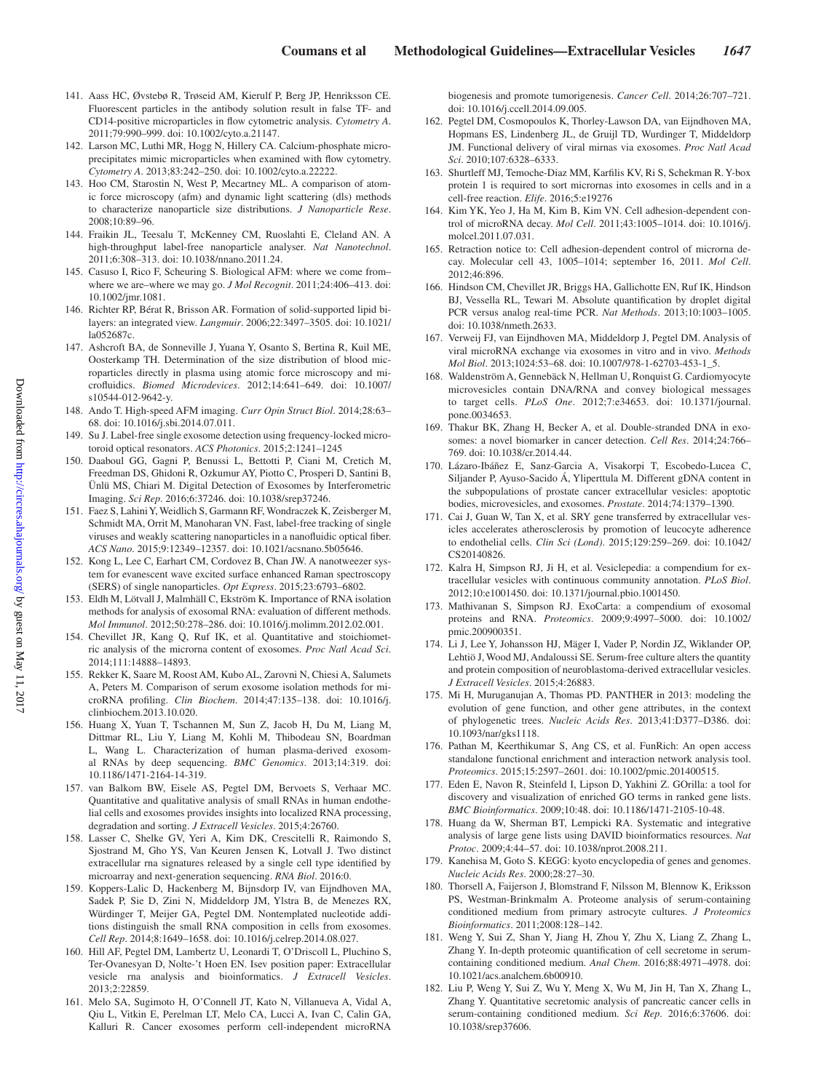- 141. Aass HC, Øvstebø R, Trøseid AM, Kierulf P, Berg JP, Henriksson CE. Fluorescent particles in the antibody solution result in false TF- and CD14-positive microparticles in flow cytometric analysis. *Cytometry A*. 2011;79:990–999. doi: 10.1002/cyto.a.21147.
- 142. Larson MC, Luthi MR, Hogg N, Hillery CA. Calcium-phosphate microprecipitates mimic microparticles when examined with flow cytometry. *Cytometry A*. 2013;83:242–250. doi: 10.1002/cyto.a.22222.
- 143. Hoo CM, Starostin N, West P, Mecartney ML. A comparison of atomic force microscopy (afm) and dynamic light scattering (dls) methods to characterize nanoparticle size distributions. *J Nanoparticle Rese*. 2008;10:89–96.
- 144. Fraikin JL, Teesalu T, McKenney CM, Ruoslahti E, Cleland AN. A high-throughput label-free nanoparticle analyser. *Nat Nanotechnol*. 2011;6:308–313. doi: 10.1038/nnano.2011.24.
- 145. Casuso I, Rico F, Scheuring S. Biological AFM: where we come from– where we are–where we may go. *J Mol Recognit*. 2011;24:406–413. doi: 10.1002/jmr.1081.
- 146. Richter RP, Bérat R, Brisson AR. Formation of solid-supported lipid bilayers: an integrated view. *Langmuir*. 2006;22:3497–3505. doi: 10.1021/ la052687c.
- 147. Ashcroft BA, de Sonneville J, Yuana Y, Osanto S, Bertina R, Kuil ME, Oosterkamp TH. Determination of the size distribution of blood microparticles directly in plasma using atomic force microscopy and microfluidics. *Biomed Microdevices*. 2012;14:641–649. doi: 10.1007/ s10544-012-9642-y.
- 148. Ando T. High-speed AFM imaging. *Curr Opin Struct Biol*. 2014;28:63– 68. doi: 10.1016/j.sbi.2014.07.011.
- 149. Su J. Label-free single exosome detection using frequency-locked microtoroid optical resonators. *ACS Photonics*. 2015;2:1241–1245
- 150. Daaboul GG, Gagni P, Benussi L, Bettotti P, Ciani M, Cretich M, Freedman DS, Ghidoni R, Ozkumur AY, Piotto C, Prosperi D, Santini B, Ünlü MS, Chiari M. Digital Detection of Exosomes by Interferometric Imaging. *Sci Rep*. 2016;6:37246. doi: 10.1038/srep37246.
- 151. Faez S, Lahini Y, Weidlich S, Garmann RF, Wondraczek K, Zeisberger M, Schmidt MA, Orrit M, Manoharan VN. Fast, label-free tracking of single viruses and weakly scattering nanoparticles in a nanofluidic optical fiber. *ACS Nano*. 2015;9:12349–12357. doi: 10.1021/acsnano.5b05646.
- 152. Kong L, Lee C, Earhart CM, Cordovez B, Chan JW. A nanotweezer system for evanescent wave excited surface enhanced Raman spectroscopy (SERS) of single nanoparticles. *Opt Express*. 2015;23:6793–6802.
- 153. Eldh M, Lötvall J, Malmhäll C, Ekström K. Importance of RNA isolation methods for analysis of exosomal RNA: evaluation of different methods. *Mol Immunol*. 2012;50:278–286. doi: 10.1016/j.molimm.2012.02.001.
- 154. Chevillet JR, Kang Q, Ruf IK, et al. Quantitative and stoichiometric analysis of the microrna content of exosomes. *Proc Natl Acad Sci*. 2014;111:14888–14893.
- 155. Rekker K, Saare M, Roost AM, Kubo AL, Zarovni N, Chiesi A, Salumets A, Peters M. Comparison of serum exosome isolation methods for microRNA profiling. *Clin Biochem*. 2014;47:135–138. doi: 10.1016/j. clinbiochem.2013.10.020.
- 156. Huang X, Yuan T, Tschannen M, Sun Z, Jacob H, Du M, Liang M, Dittmar RL, Liu Y, Liang M, Kohli M, Thibodeau SN, Boardman L, Wang L. Characterization of human plasma-derived exosomal RNAs by deep sequencing. *BMC Genomics*. 2013;14:319. doi: 10.1186/1471-2164-14-319.
- 157. van Balkom BW, Eisele AS, Pegtel DM, Bervoets S, Verhaar MC. Quantitative and qualitative analysis of small RNAs in human endothelial cells and exosomes provides insights into localized RNA processing, degradation and sorting. *J Extracell Vesicles*. 2015;4:26760.
- 158. Lasser C, Shelke GV, Yeri A, Kim DK, Crescitelli R, Raimondo S, Sjostrand M, Gho YS, Van Keuren Jensen K, Lotvall J. Two distinct extracellular rna signatures released by a single cell type identified by microarray and next-generation sequencing. *RNA Biol*. 2016:0.
- 159. Koppers-Lalic D, Hackenberg M, Bijnsdorp IV, van Eijndhoven MA, Sadek P, Sie D, Zini N, Middeldorp JM, Ylstra B, de Menezes RX, Würdinger T, Meijer GA, Pegtel DM. Nontemplated nucleotide additions distinguish the small RNA composition in cells from exosomes. *Cell Rep*. 2014;8:1649–1658. doi: 10.1016/j.celrep.2014.08.027.
- 160. Hill AF, Pegtel DM, Lambertz U, Leonardi T, O'Driscoll L, Pluchino S, Ter-Ovanesyan D, Nolte-'t Hoen EN. Isev position paper: Extracellular vesicle rna analysis and bioinformatics. *J Extracell Vesicles*. 2013;2:22859.
- 161. Melo SA, Sugimoto H, O'Connell JT, Kato N, Villanueva A, Vidal A, Qiu L, Vitkin E, Perelman LT, Melo CA, Lucci A, Ivan C, Calin GA, Kalluri R. Cancer exosomes perform cell-independent microRNA

biogenesis and promote tumorigenesis. *Cancer Cell*. 2014;26:707–721. doi: 10.1016/j.ccell.2014.09.005.

- 162. Pegtel DM, Cosmopoulos K, Thorley-Lawson DA, van Eijndhoven MA, Hopmans ES, Lindenberg JL, de Gruijl TD, Wurdinger T, Middeldorp JM. Functional delivery of viral mirnas via exosomes. *Proc Natl Acad Sci*. 2010;107:6328–6333.
- 163. Shurtleff MJ, Temoche-Diaz MM, Karfilis KV, Ri S, Schekman R. Y-box protein 1 is required to sort micrornas into exosomes in cells and in a cell-free reaction. *Elife*. 2016;5:e19276
- 164. Kim YK, Yeo J, Ha M, Kim B, Kim VN. Cell adhesion-dependent control of microRNA decay. *Mol Cell*. 2011;43:1005–1014. doi: 10.1016/j. molcel.2011.07.031.
- 165. Retraction notice to: Cell adhesion-dependent control of microrna decay. Molecular cell 43, 1005–1014; september 16, 2011. *Mol Cell*. 2012;46:896.
- 166. Hindson CM, Chevillet JR, Briggs HA, Gallichotte EN, Ruf IK, Hindson BJ, Vessella RL, Tewari M. Absolute quantification by droplet digital PCR versus analog real-time PCR. *Nat Methods*. 2013;10:1003–1005. doi: 10.1038/nmeth.2633.
- 167. Verweij FJ, van Eijndhoven MA, Middeldorp J, Pegtel DM. Analysis of viral microRNA exchange via exosomes in vitro and in vivo. *Methods Mol Biol*. 2013;1024:53–68. doi: 10.1007/978-1-62703-453-1\_5.
- 168. Waldenström A, Gennebäck N, Hellman U, Ronquist G. Cardiomyocyte microvesicles contain DNA/RNA and convey biological messages to target cells. *PLoS One*. 2012;7:e34653. doi: 10.1371/journal. pone.0034653.
- 169. Thakur BK, Zhang H, Becker A, et al. Double-stranded DNA in exosomes: a novel biomarker in cancer detection. *Cell Res*. 2014;24:766– 769. doi: 10.1038/cr.2014.44.
- 170. Lázaro-Ibáñez E, Sanz-Garcia A, Visakorpi T, Escobedo-Lucea C, Siljander P, Ayuso-Sacido Á, Yliperttula M. Different gDNA content in the subpopulations of prostate cancer extracellular vesicles: apoptotic bodies, microvesicles, and exosomes. *Prostate*. 2014;74:1379–1390.
- 171. Cai J, Guan W, Tan X, et al. SRY gene transferred by extracellular vesicles accelerates atherosclerosis by promotion of leucocyte adherence to endothelial cells. *Clin Sci (Lond)*. 2015;129:259–269. doi: 10.1042/ CS20140826.
- 172. Kalra H, Simpson RJ, Ji H, et al. Vesiclepedia: a compendium for extracellular vesicles with continuous community annotation. *PLoS Biol*. 2012;10:e1001450. doi: 10.1371/journal.pbio.1001450.
- 173. Mathivanan S, Simpson RJ. ExoCarta: a compendium of exosomal proteins and RNA. *Proteomics*. 2009;9:4997–5000. doi: 10.1002/ pmic.200900351.
- 174. Li J, Lee Y, Johansson HJ, Mäger I, Vader P, Nordin JZ, Wiklander OP, Lehtiö J, Wood MJ, Andaloussi SE. Serum-free culture alters the quantity and protein composition of neuroblastoma-derived extracellular vesicles. *J Extracell Vesicles*. 2015;4:26883.
- 175. Mi H, Muruganujan A, Thomas PD. PANTHER in 2013: modeling the evolution of gene function, and other gene attributes, in the context of phylogenetic trees. *Nucleic Acids Res*. 2013;41:D377–D386. doi: 10.1093/nar/gks1118.
- 176. Pathan M, Keerthikumar S, Ang CS, et al. FunRich: An open access standalone functional enrichment and interaction network analysis tool. *Proteomics*. 2015;15:2597–2601. doi: 10.1002/pmic.201400515.
- 177. Eden E, Navon R, Steinfeld I, Lipson D, Yakhini Z. GOrilla: a tool for discovery and visualization of enriched GO terms in ranked gene lists. *BMC Bioinformatics*. 2009;10:48. doi: 10.1186/1471-2105-10-48.
- 178. Huang da W, Sherman BT, Lempicki RA. Systematic and integrative analysis of large gene lists using DAVID bioinformatics resources. *Nat Protoc*. 2009;4:44–57. doi: 10.1038/nprot.2008.211.
- 179. Kanehisa M, Goto S. KEGG: kyoto encyclopedia of genes and genomes. *Nucleic Acids Res*. 2000;28:27–30.
- 180. Thorsell A, Faijerson J, Blomstrand F, Nilsson M, Blennow K, Eriksson PS, Westman-Brinkmalm A. Proteome analysis of serum-containing conditioned medium from primary astrocyte cultures. *J Proteomics Bioinformatics*. 2011;2008:128–142.
- 181. Weng Y, Sui Z, Shan Y, Jiang H, Zhou Y, Zhu X, Liang Z, Zhang L, Zhang Y. In-depth proteomic quantification of cell secretome in serumcontaining conditioned medium. *Anal Chem*. 2016;88:4971–4978. doi: 10.1021/acs.analchem.6b00910.
- 182. Liu P, Weng Y, Sui Z, Wu Y, Meng X, Wu M, Jin H, Tan X, Zhang L, Zhang Y. Quantitative secretomic analysis of pancreatic cancer cells in serum-containing conditioned medium. *Sci Rep*. 2016;6:37606. doi: 10.1038/srep37606.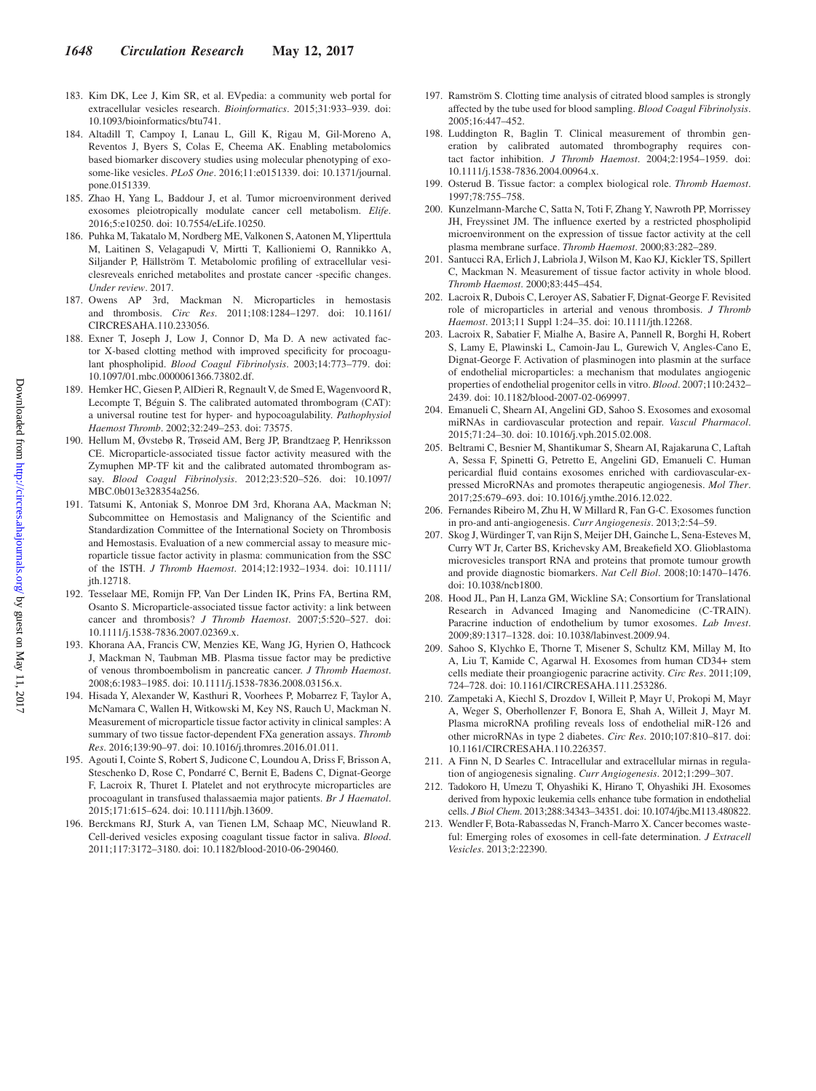- 183. Kim DK, Lee J, Kim SR, et al. EVpedia: a community web portal for extracellular vesicles research. *Bioinformatics*. 2015;31:933–939. doi: 10.1093/bioinformatics/btu741.
- 184. Altadill T, Campoy I, Lanau L, Gill K, Rigau M, Gil-Moreno A, Reventos J, Byers S, Colas E, Cheema AK. Enabling metabolomics based biomarker discovery studies using molecular phenotyping of exosome-like vesicles. *PLoS One*. 2016;11:e0151339. doi: 10.1371/journal. pone.0151339.
- 185. Zhao H, Yang L, Baddour J, et al. Tumor microenvironment derived exosomes pleiotropically modulate cancer cell metabolism. *Elife*. 2016;5:e10250. doi: 10.7554/eLife.10250.
- 186. Puhka M, Takatalo M, Nordberg ME, Valkonen S, Aatonen M, Yliperttula M, Laitinen S, Velagapudi V, Mirtti T, Kallioniemi O, Rannikko A, Siljander P, Hällström T. Metabolomic profiling of extracellular vesiclesreveals enriched metabolites and prostate cancer -specific changes. *Under review*. 2017.
- 187. Owens AP 3rd, Mackman N. Microparticles in hemostasis and thrombosis. *Circ Res*. 2011;108:1284–1297. doi: 10.1161/ CIRCRESAHA.110.233056.
- 188. Exner T, Joseph J, Low J, Connor D, Ma D. A new activated factor X-based clotting method with improved specificity for procoagulant phospholipid. *Blood Coagul Fibrinolysis*. 2003;14:773–779. doi: 10.1097/01.mbc.0000061366.73802.df.
- 189. Hemker HC, Giesen P, AlDieri R, Regnault V, de Smed E, Wagenvoord R, Lecompte T, Béguin S. The calibrated automated thrombogram (CAT): a universal routine test for hyper- and hypocoagulability. *Pathophysiol Haemost Thromb*. 2002;32:249–253. doi: 73575.
- 190. Hellum M, Øvstebø R, Trøseid AM, Berg JP, Brandtzaeg P, Henriksson CE. Microparticle-associated tissue factor activity measured with the Zymuphen MP-TF kit and the calibrated automated thrombogram assay. *Blood Coagul Fibrinolysis*. 2012;23:520–526. doi: 10.1097/ MBC.0b013e328354a256.
- 191. Tatsumi K, Antoniak S, Monroe DM 3rd, Khorana AA, Mackman N; Subcommittee on Hemostasis and Malignancy of the Scientific and Standardization Committee of the International Society on Thrombosis and Hemostasis. Evaluation of a new commercial assay to measure microparticle tissue factor activity in plasma: communication from the SSC of the ISTH. *J Thromb Haemost*. 2014;12:1932–1934. doi: 10.1111/ jth.12718.
- 192. Tesselaar ME, Romijn FP, Van Der Linden IK, Prins FA, Bertina RM, Osanto S. Microparticle-associated tissue factor activity: a link between cancer and thrombosis? *J Thromb Haemost*. 2007;5:520–527. doi: 10.1111/j.1538-7836.2007.02369.x.
- 193. Khorana AA, Francis CW, Menzies KE, Wang JG, Hyrien O, Hathcock J, Mackman N, Taubman MB. Plasma tissue factor may be predictive of venous thromboembolism in pancreatic cancer. *J Thromb Haemost*. 2008;6:1983–1985. doi: 10.1111/j.1538-7836.2008.03156.x.
- 194. Hisada Y, Alexander W, Kasthuri R, Voorhees P, Mobarrez F, Taylor A, McNamara C, Wallen H, Witkowski M, Key NS, Rauch U, Mackman N. Measurement of microparticle tissue factor activity in clinical samples: A summary of two tissue factor-dependent FXa generation assays. *Thromb Res*. 2016;139:90–97. doi: 10.1016/j.thromres.2016.01.011.
- 195. Agouti I, Cointe S, Robert S, Judicone C, Loundou A, Driss F, Brisson A, Steschenko D, Rose C, Pondarré C, Bernit E, Badens C, Dignat-George F, Lacroix R, Thuret I. Platelet and not erythrocyte microparticles are procoagulant in transfused thalassaemia major patients. *Br J Haematol*. 2015;171:615–624. doi: 10.1111/bjh.13609.
- 196. Berckmans RJ, Sturk A, van Tienen LM, Schaap MC, Nieuwland R. Cell-derived vesicles exposing coagulant tissue factor in saliva. *Blood*. 2011;117:3172–3180. doi: 10.1182/blood-2010-06-290460.
- 197. Ramström S. Clotting time analysis of citrated blood samples is strongly affected by the tube used for blood sampling. *Blood Coagul Fibrinolysis*. 2005;16:447–452.
- 198. Luddington R, Baglin T. Clinical measurement of thrombin generation by calibrated automated thrombography requires contact factor inhibition. *J Thromb Haemost*. 2004;2:1954–1959. doi: 10.1111/j.1538-7836.2004.00964.x.
- 199. Osterud B. Tissue factor: a complex biological role. *Thromb Haemost*. 1997;78:755–758.
- 200. Kunzelmann-Marche C, Satta N, Toti F, Zhang Y, Nawroth PP, Morrissey JH, Freyssinet JM. The influence exerted by a restricted phospholipid microenvironment on the expression of tissue factor activity at the cell plasma membrane surface. *Thromb Haemost*. 2000;83:282–289.
- 201. Santucci RA, Erlich J, Labriola J, Wilson M, Kao KJ, Kickler TS, Spillert C, Mackman N. Measurement of tissue factor activity in whole blood. *Thromb Haemost*. 2000;83:445–454.
- 202. Lacroix R, Dubois C, Leroyer AS, Sabatier F, Dignat-George F. Revisited role of microparticles in arterial and venous thrombosis. *J Thromb Haemost*. 2013;11 Suppl 1:24–35. doi: 10.1111/jth.12268.
- 203. Lacroix R, Sabatier F, Mialhe A, Basire A, Pannell R, Borghi H, Robert S, Lamy E, Plawinski L, Camoin-Jau L, Gurewich V, Angles-Cano E, Dignat-George F. Activation of plasminogen into plasmin at the surface of endothelial microparticles: a mechanism that modulates angiogenic properties of endothelial progenitor cells in vitro. *Blood*. 2007;110:2432– 2439. doi: 10.1182/blood-2007-02-069997.
- 204. Emanueli C, Shearn AI, Angelini GD, Sahoo S. Exosomes and exosomal miRNAs in cardiovascular protection and repair. *Vascul Pharmacol*. 2015;71:24–30. doi: 10.1016/j.vph.2015.02.008.
- 205. Beltrami C, Besnier M, Shantikumar S, Shearn AI, Rajakaruna C, Laftah A, Sessa F, Spinetti G, Petretto E, Angelini GD, Emanueli C. Human pericardial fluid contains exosomes enriched with cardiovascular-expressed MicroRNAs and promotes therapeutic angiogenesis. *Mol Ther*. 2017;25:679–693. doi: 10.1016/j.ymthe.2016.12.022.
- 206. Fernandes Ribeiro M, Zhu H, W Millard R, Fan G-C. Exosomes function in pro-and anti-angiogenesis. *Curr Angiogenesis*. 2013;2:54–59.
- 207. Skog J, Würdinger T, van Rijn S, Meijer DH, Gainche L, Sena-Esteves M, Curry WT Jr, Carter BS, Krichevsky AM, Breakefield XO. Glioblastoma microvesicles transport RNA and proteins that promote tumour growth and provide diagnostic biomarkers. *Nat Cell Biol*. 2008;10:1470–1476. doi: 10.1038/ncb1800.
- 208. Hood JL, Pan H, Lanza GM, Wickline SA; Consortium for Translational Research in Advanced Imaging and Nanomedicine (C-TRAIN). Paracrine induction of endothelium by tumor exosomes. *Lab Invest*. 2009;89:1317–1328. doi: 10.1038/labinvest.2009.94.
- 209. Sahoo S, Klychko E, Thorne T, Misener S, Schultz KM, Millay M, Ito A, Liu T, Kamide C, Agarwal H. Exosomes from human CD34+ stem cells mediate their proangiogenic paracrine activity. *Circ Res*. 2011;109, 724–728. doi: 10.1161/CIRCRESAHA.111.253286.
- 210. Zampetaki A, Kiechl S, Drozdov I, Willeit P, Mayr U, Prokopi M, Mayr A, Weger S, Oberhollenzer F, Bonora E, Shah A, Willeit J, Mayr M. Plasma microRNA profiling reveals loss of endothelial miR-126 and other microRNAs in type 2 diabetes. *Circ Res*. 2010;107:810–817. doi: 10.1161/CIRCRESAHA.110.226357.
- 211. A Finn N, D Searles C. Intracellular and extracellular mirnas in regulation of angiogenesis signaling. *Curr Angiogenesis*. 2012;1:299–307.
- 212. Tadokoro H, Umezu T, Ohyashiki K, Hirano T, Ohyashiki JH. Exosomes derived from hypoxic leukemia cells enhance tube formation in endothelial cells. *J Biol Chem*. 2013;288:34343–34351. doi: 10.1074/jbc.M113.480822.
- 213. Wendler F, Bota-Rabassedas N, Franch-Marro X. Cancer becomes wasteful: Emerging roles of exosomes in cell-fate determination. *J Extracell Vesicles*. 2013;2:22390.